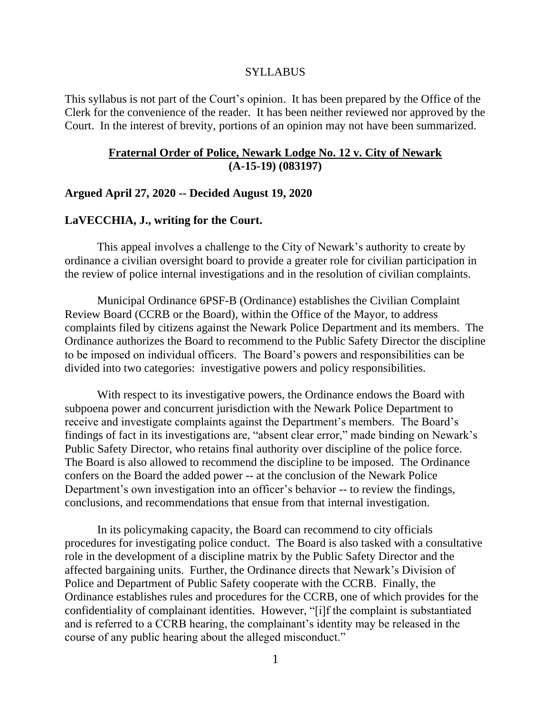#### **SYLLABUS**

This syllabus is not part of the Court's opinion. It has been prepared by the Office of the Clerk for the convenience of the reader. It has been neither reviewed nor approved by the Court. In the interest of brevity, portions of an opinion may not have been summarized.

### **Fraternal Order of Police, Newark Lodge No. 12 v. City of Newark (A-15-19) (083197)**

### **Argued April 27, 2020 -- Decided August 19, 2020**

#### **LaVECCHIA, J., writing for the Court.**

This appeal involves a challenge to the City of Newark's authority to create by ordinance a civilian oversight board to provide a greater role for civilian participation in the review of police internal investigations and in the resolution of civilian complaints.

Municipal Ordinance 6PSF-B (Ordinance) establishes the Civilian Complaint Review Board (CCRB or the Board), within the Office of the Mayor, to address complaints filed by citizens against the Newark Police Department and its members. The Ordinance authorizes the Board to recommend to the Public Safety Director the discipline to be imposed on individual officers. The Board's powers and responsibilities can be divided into two categories: investigative powers and policy responsibilities.

With respect to its investigative powers, the Ordinance endows the Board with subpoena power and concurrent jurisdiction with the Newark Police Department to receive and investigate complaints against the Department's members. The Board's findings of fact in its investigations are, "absent clear error," made binding on Newark's Public Safety Director, who retains final authority over discipline of the police force. The Board is also allowed to recommend the discipline to be imposed. The Ordinance confers on the Board the added power -- at the conclusion of the Newark Police Department's own investigation into an officer's behavior -- to review the findings, conclusions, and recommendations that ensue from that internal investigation.

In its policymaking capacity, the Board can recommend to city officials procedures for investigating police conduct. The Board is also tasked with a consultative role in the development of a discipline matrix by the Public Safety Director and the affected bargaining units. Further, the Ordinance directs that Newark's Division of Police and Department of Public Safety cooperate with the CCRB. Finally, the Ordinance establishes rules and procedures for the CCRB, one of which provides for the confidentiality of complainant identities. However, "[i]f the complaint is substantiated and is referred to a CCRB hearing, the complainant's identity may be released in the course of any public hearing about the alleged misconduct."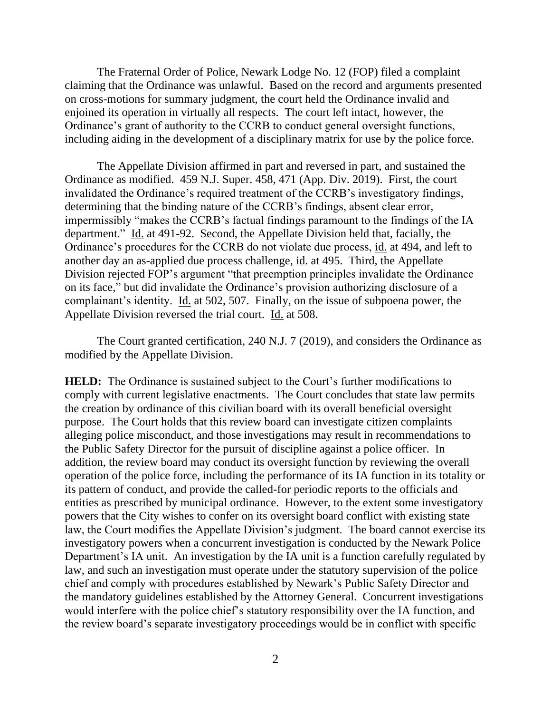The Fraternal Order of Police, Newark Lodge No. 12 (FOP) filed a complaint claiming that the Ordinance was unlawful. Based on the record and arguments presented on cross-motions for summary judgment, the court held the Ordinance invalid and enjoined its operation in virtually all respects. The court left intact, however, the Ordinance's grant of authority to the CCRB to conduct general oversight functions, including aiding in the development of a disciplinary matrix for use by the police force.

The Appellate Division affirmed in part and reversed in part, and sustained the Ordinance as modified. 459 N.J. Super. 458, 471 (App. Div. 2019). First, the court invalidated the Ordinance's required treatment of the CCRB's investigatory findings, determining that the binding nature of the CCRB's findings, absent clear error, impermissibly "makes the CCRB's factual findings paramount to the findings of the IA department." Id. at 491-92. Second, the Appellate Division held that, facially, the Ordinance's procedures for the CCRB do not violate due process, id. at 494, and left to another day an as-applied due process challenge, id. at 495. Third, the Appellate Division rejected FOP's argument "that preemption principles invalidate the Ordinance on its face," but did invalidate the Ordinance's provision authorizing disclosure of a complainant's identity. Id. at 502, 507. Finally, on the issue of subpoena power, the Appellate Division reversed the trial court. Id. at 508.

The Court granted certification, 240 N.J. 7 (2019), and considers the Ordinance as modified by the Appellate Division.

**HELD:** The Ordinance is sustained subject to the Court's further modifications to comply with current legislative enactments. The Court concludes that state law permits the creation by ordinance of this civilian board with its overall beneficial oversight purpose. The Court holds that this review board can investigate citizen complaints alleging police misconduct, and those investigations may result in recommendations to the Public Safety Director for the pursuit of discipline against a police officer. In addition, the review board may conduct its oversight function by reviewing the overall operation of the police force, including the performance of its IA function in its totality or its pattern of conduct, and provide the called-for periodic reports to the officials and entities as prescribed by municipal ordinance. However, to the extent some investigatory powers that the City wishes to confer on its oversight board conflict with existing state law, the Court modifies the Appellate Division's judgment. The board cannot exercise its investigatory powers when a concurrent investigation is conducted by the Newark Police Department's IA unit. An investigation by the IA unit is a function carefully regulated by law, and such an investigation must operate under the statutory supervision of the police chief and comply with procedures established by Newark's Public Safety Director and the mandatory guidelines established by the Attorney General. Concurrent investigations would interfere with the police chief's statutory responsibility over the IA function, and the review board's separate investigatory proceedings would be in conflict with specific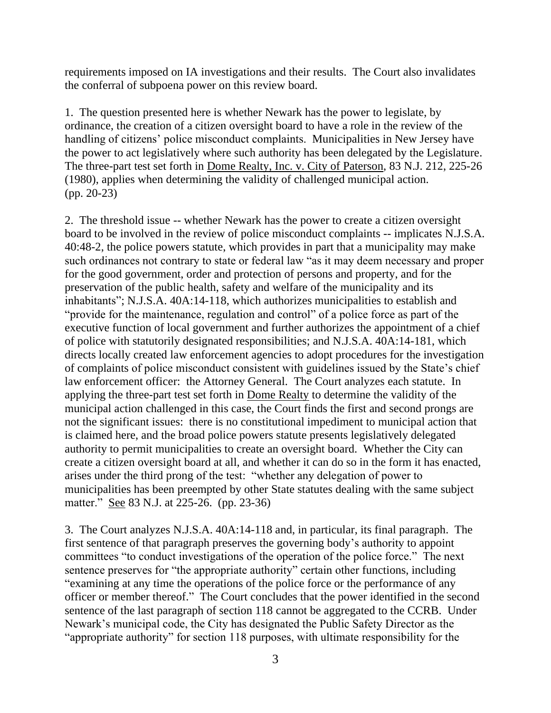requirements imposed on IA investigations and their results. The Court also invalidates the conferral of subpoena power on this review board.

1. The question presented here is whether Newark has the power to legislate, by ordinance, the creation of a citizen oversight board to have a role in the review of the handling of citizens' police misconduct complaints. Municipalities in New Jersey have the power to act legislatively where such authority has been delegated by the Legislature. The three-part test set forth in Dome Realty, Inc. v. City of Paterson, 83 N.J. 212, 225-26 (1980), applies when determining the validity of challenged municipal action. (pp. 20-23)

2. The threshold issue -- whether Newark has the power to create a citizen oversight board to be involved in the review of police misconduct complaints -- implicates N.J.S.A. 40:48-2, the police powers statute, which provides in part that a municipality may make such ordinances not contrary to state or federal law "as it may deem necessary and proper for the good government, order and protection of persons and property, and for the preservation of the public health, safety and welfare of the municipality and its inhabitants"; N.J.S.A. 40A:14-118, which authorizes municipalities to establish and "provide for the maintenance, regulation and control" of a police force as part of the executive function of local government and further authorizes the appointment of a chief of police with statutorily designated responsibilities; and N.J.S.A. 40A:14-181, which directs locally created law enforcement agencies to adopt procedures for the investigation of complaints of police misconduct consistent with guidelines issued by the State's chief law enforcement officer: the Attorney General. The Court analyzes each statute. In applying the three-part test set forth in Dome Realty to determine the validity of the municipal action challenged in this case, the Court finds the first and second prongs are not the significant issues: there is no constitutional impediment to municipal action that is claimed here, and the broad police powers statute presents legislatively delegated authority to permit municipalities to create an oversight board. Whether the City can create a citizen oversight board at all, and whether it can do so in the form it has enacted, arises under the third prong of the test: "whether any delegation of power to municipalities has been preempted by other State statutes dealing with the same subject matter." See 83 N.J. at 225-26. (pp. 23-36)

3. The Court analyzes N.J.S.A. 40A:14-118 and, in particular, its final paragraph. The first sentence of that paragraph preserves the governing body's authority to appoint committees "to conduct investigations of the operation of the police force." The next sentence preserves for "the appropriate authority" certain other functions, including "examining at any time the operations of the police force or the performance of any officer or member thereof." The Court concludes that the power identified in the second sentence of the last paragraph of section 118 cannot be aggregated to the CCRB. Under Newark's municipal code, the City has designated the Public Safety Director as the "appropriate authority" for section 118 purposes, with ultimate responsibility for the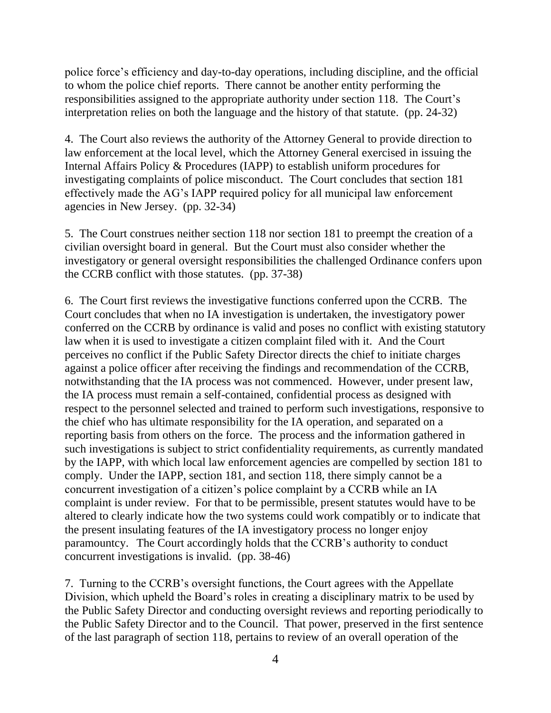police force's efficiency and day-to-day operations, including discipline, and the official to whom the police chief reports. There cannot be another entity performing the responsibilities assigned to the appropriate authority under section 118. The Court's interpretation relies on both the language and the history of that statute. (pp. 24-32)

4. The Court also reviews the authority of the Attorney General to provide direction to law enforcement at the local level, which the Attorney General exercised in issuing the Internal Affairs Policy & Procedures (IAPP) to establish uniform procedures for investigating complaints of police misconduct. The Court concludes that section 181 effectively made the AG's IAPP required policy for all municipal law enforcement agencies in New Jersey. (pp. 32-34)

5. The Court construes neither section 118 nor section 181 to preempt the creation of a civilian oversight board in general. But the Court must also consider whether the investigatory or general oversight responsibilities the challenged Ordinance confers upon the CCRB conflict with those statutes. (pp. 37-38)

6. The Court first reviews the investigative functions conferred upon the CCRB. The Court concludes that when no IA investigation is undertaken, the investigatory power conferred on the CCRB by ordinance is valid and poses no conflict with existing statutory law when it is used to investigate a citizen complaint filed with it. And the Court perceives no conflict if the Public Safety Director directs the chief to initiate charges against a police officer after receiving the findings and recommendation of the CCRB, notwithstanding that the IA process was not commenced. However, under present law, the IA process must remain a self-contained, confidential process as designed with respect to the personnel selected and trained to perform such investigations, responsive to the chief who has ultimate responsibility for the IA operation, and separated on a reporting basis from others on the force. The process and the information gathered in such investigations is subject to strict confidentiality requirements, as currently mandated by the IAPP, with which local law enforcement agencies are compelled by section 181 to comply. Under the IAPP, section 181, and section 118, there simply cannot be a concurrent investigation of a citizen's police complaint by a CCRB while an IA complaint is under review. For that to be permissible, present statutes would have to be altered to clearly indicate how the two systems could work compatibly or to indicate that the present insulating features of the IA investigatory process no longer enjoy paramountcy. The Court accordingly holds that the CCRB's authority to conduct concurrent investigations is invalid. (pp. 38-46)

7. Turning to the CCRB's oversight functions, the Court agrees with the Appellate Division, which upheld the Board's roles in creating a disciplinary matrix to be used by the Public Safety Director and conducting oversight reviews and reporting periodically to the Public Safety Director and to the Council. That power, preserved in the first sentence of the last paragraph of section 118, pertains to review of an overall operation of the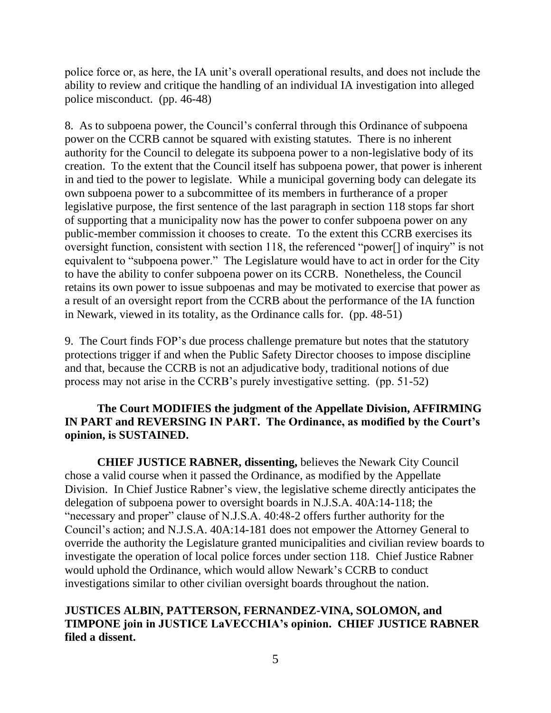police force or, as here, the IA unit's overall operational results, and does not include the ability to review and critique the handling of an individual IA investigation into alleged police misconduct. (pp. 46-48)

8. As to subpoena power, the Council's conferral through this Ordinance of subpoena power on the CCRB cannot be squared with existing statutes. There is no inherent authority for the Council to delegate its subpoena power to a non-legislative body of its creation. To the extent that the Council itself has subpoena power, that power is inherent in and tied to the power to legislate. While a municipal governing body can delegate its own subpoena power to a subcommittee of its members in furtherance of a proper legislative purpose, the first sentence of the last paragraph in section 118 stops far short of supporting that a municipality now has the power to confer subpoena power on any public-member commission it chooses to create. To the extent this CCRB exercises its oversight function, consistent with section 118, the referenced "power[] of inquiry" is not equivalent to "subpoena power." The Legislature would have to act in order for the City to have the ability to confer subpoena power on its CCRB. Nonetheless, the Council retains its own power to issue subpoenas and may be motivated to exercise that power as a result of an oversight report from the CCRB about the performance of the IA function in Newark, viewed in its totality, as the Ordinance calls for. (pp. 48-51)

9. The Court finds FOP's due process challenge premature but notes that the statutory protections trigger if and when the Public Safety Director chooses to impose discipline and that, because the CCRB is not an adjudicative body, traditional notions of due process may not arise in the CCRB's purely investigative setting. (pp. 51-52)

# **The Court MODIFIES the judgment of the Appellate Division, AFFIRMING IN PART and REVERSING IN PART. The Ordinance, as modified by the Court's opinion, is SUSTAINED.**

**CHIEF JUSTICE RABNER, dissenting,** believes the Newark City Council chose a valid course when it passed the Ordinance, as modified by the Appellate Division. In Chief Justice Rabner's view, the legislative scheme directly anticipates the delegation of subpoena power to oversight boards in N.J.S.A. 40A:14-118; the "necessary and proper" clause of N.J.S.A. 40:48-2 offers further authority for the Council's action; and N.J.S.A. 40A:14-181 does not empower the Attorney General to override the authority the Legislature granted municipalities and civilian review boards to investigate the operation of local police forces under section 118. Chief Justice Rabner would uphold the Ordinance, which would allow Newark's CCRB to conduct investigations similar to other civilian oversight boards throughout the nation.

# **JUSTICES ALBIN, PATTERSON, FERNANDEZ-VINA, SOLOMON, and TIMPONE join in JUSTICE LaVECCHIA's opinion. CHIEF JUSTICE RABNER filed a dissent.**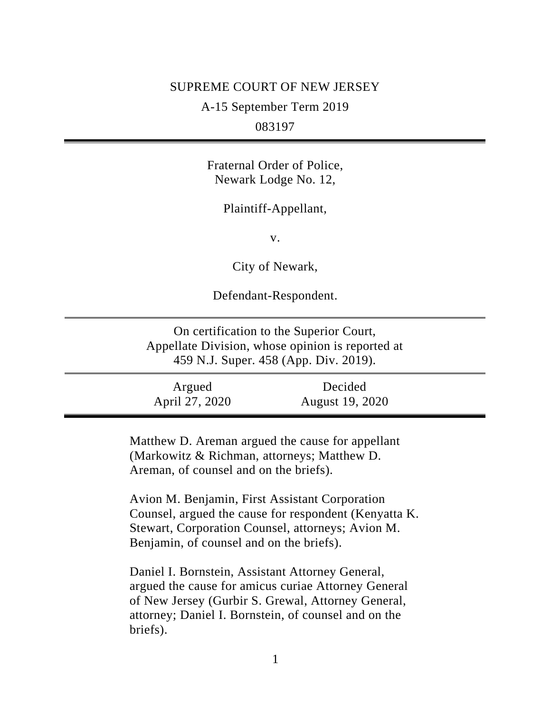# SUPREME COURT OF NEW JERSEY

A-15 September Term 2019

083197

Fraternal Order of Police, Newark Lodge No. 12,

Plaintiff-Appellant,

v.

City of Newark,

Defendant-Respondent.

On certification to the Superior Court, Appellate Division, whose opinion is reported at 459 N.J. Super. 458 (App. Div. 2019).

Argued April 27, 2020 Decided August 19, 2020

> Matthew D. Areman argued the cause for appellant (Markowitz & Richman, attorneys; Matthew D. Areman, of counsel and on the briefs).

Avion M. Benjamin, First Assistant Corporation Counsel, argued the cause for respondent (Kenyatta K. Stewart, Corporation Counsel, attorneys; Avion M. Benjamin, of counsel and on the briefs).

Daniel I. Bornstein, Assistant Attorney General, argued the cause for amicus curiae Attorney General of New Jersey (Gurbir S. Grewal, Attorney General, attorney; Daniel I. Bornstein, of counsel and on the briefs).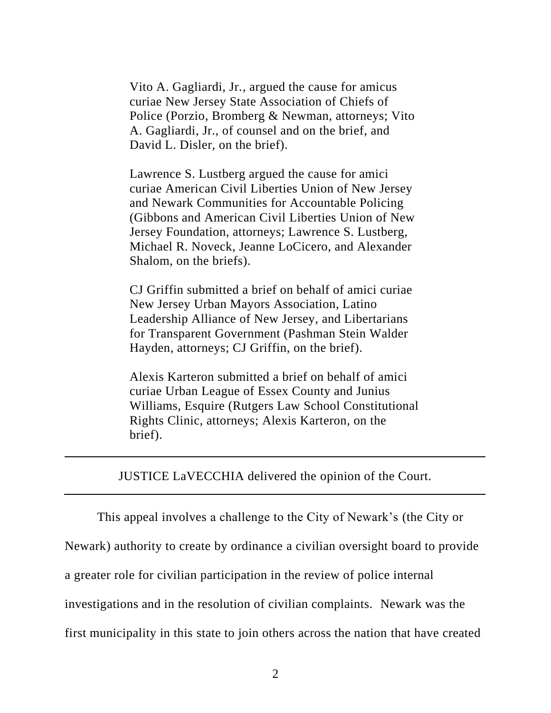Vito A. Gagliardi, Jr., argued the cause for amicus curiae New Jersey State Association of Chiefs of Police (Porzio, Bromberg & Newman, attorneys; Vito A. Gagliardi, Jr., of counsel and on the brief, and David L. Disler, on the brief).

Lawrence S. Lustberg argued the cause for amici curiae American Civil Liberties Union of New Jersey and Newark Communities for Accountable Policing (Gibbons and American Civil Liberties Union of New Jersey Foundation, attorneys; Lawrence S. Lustberg, Michael R. Noveck, Jeanne LoCicero, and Alexander Shalom, on the briefs).

CJ Griffin submitted a brief on behalf of amici curiae New Jersey Urban Mayors Association, Latino Leadership Alliance of New Jersey, and Libertarians for Transparent Government (Pashman Stein Walder Hayden, attorneys; CJ Griffin, on the brief).

Alexis Karteron submitted a brief on behalf of amici curiae Urban League of Essex County and Junius Williams, Esquire (Rutgers Law School Constitutional Rights Clinic, attorneys; Alexis Karteron, on the brief).

JUSTICE LaVECCHIA delivered the opinion of the Court.

This appeal involves a challenge to the City of Newark's (the City or Newark) authority to create by ordinance a civilian oversight board to provide a greater role for civilian participation in the review of police internal investigations and in the resolution of civilian complaints. Newark was the first municipality in this state to join others across the nation that have created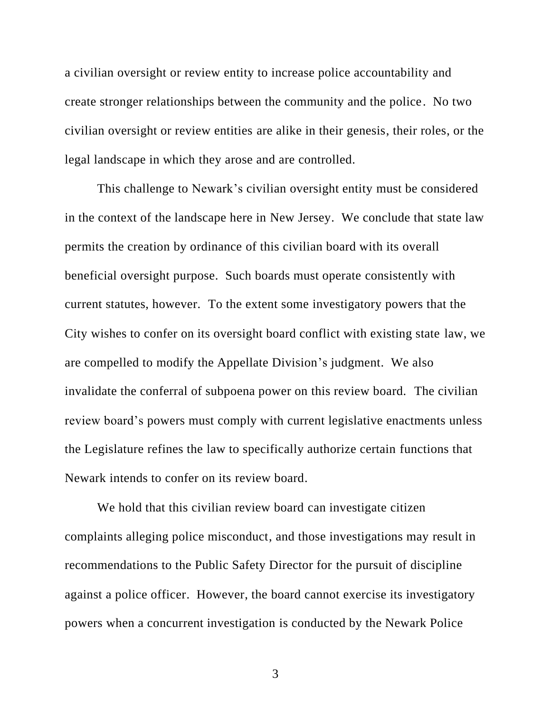a civilian oversight or review entity to increase police accountability and create stronger relationships between the community and the police. No two civilian oversight or review entities are alike in their genesis, their roles, or the legal landscape in which they arose and are controlled.

This challenge to Newark's civilian oversight entity must be considered in the context of the landscape here in New Jersey. We conclude that state law permits the creation by ordinance of this civilian board with its overall beneficial oversight purpose. Such boards must operate consistently with current statutes, however. To the extent some investigatory powers that the City wishes to confer on its oversight board conflict with existing state law, we are compelled to modify the Appellate Division's judgment. We also invalidate the conferral of subpoena power on this review board. The civilian review board's powers must comply with current legislative enactments unless the Legislature refines the law to specifically authorize certain functions that Newark intends to confer on its review board.

We hold that this civilian review board can investigate citizen complaints alleging police misconduct, and those investigations may result in recommendations to the Public Safety Director for the pursuit of discipline against a police officer. However, the board cannot exercise its investigatory powers when a concurrent investigation is conducted by the Newark Police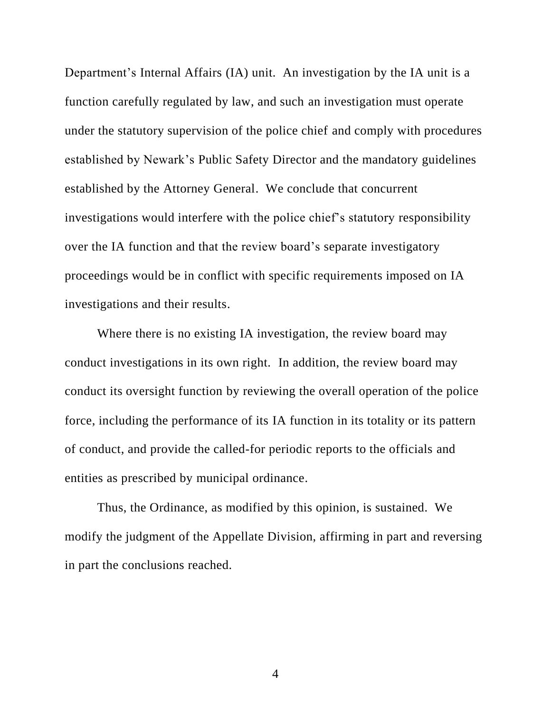Department's Internal Affairs (IA) unit. An investigation by the IA unit is a function carefully regulated by law, and such an investigation must operate under the statutory supervision of the police chief and comply with procedures established by Newark's Public Safety Director and the mandatory guidelines established by the Attorney General. We conclude that concurrent investigations would interfere with the police chief's statutory responsibility over the IA function and that the review board's separate investigatory proceedings would be in conflict with specific requirements imposed on IA investigations and their results.

Where there is no existing IA investigation, the review board may conduct investigations in its own right. In addition, the review board may conduct its oversight function by reviewing the overall operation of the police force, including the performance of its IA function in its totality or its pattern of conduct, and provide the called-for periodic reports to the officials and entities as prescribed by municipal ordinance.

Thus, the Ordinance, as modified by this opinion, is sustained. We modify the judgment of the Appellate Division, affirming in part and reversing in part the conclusions reached.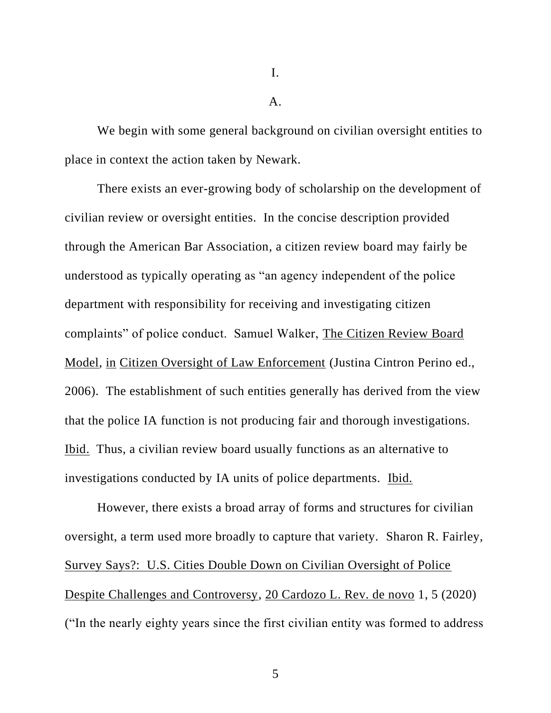I.

 $\mathbf{A}$ .

We begin with some general background on civilian oversight entities to place in context the action taken by Newark.

There exists an ever-growing body of scholarship on the development of civilian review or oversight entities. In the concise description provided through the American Bar Association, a citizen review board may fairly be understood as typically operating as "an agency independent of the police department with responsibility for receiving and investigating citizen complaints" of police conduct. Samuel Walker, The Citizen Review Board Model, in Citizen Oversight of Law Enforcement (Justina Cintron Perino ed., 2006). The establishment of such entities generally has derived from the view that the police IA function is not producing fair and thorough investigations. Ibid. Thus, a civilian review board usually functions as an alternative to investigations conducted by IA units of police departments. Ibid.

However, there exists a broad array of forms and structures for civilian oversight, a term used more broadly to capture that variety. Sharon R. Fairley, Survey Says?: U.S. Cities Double Down on Civilian Oversight of Police Despite Challenges and Controversy, 20 Cardozo L. Rev. de novo 1, 5 (2020) ("In the nearly eighty years since the first civilian entity was formed to address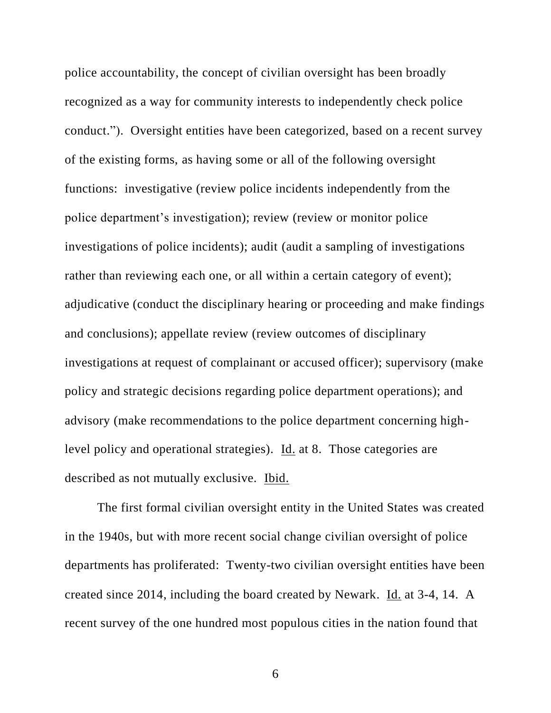police accountability, the concept of civilian oversight has been broadly recognized as a way for community interests to independently check police conduct."). Oversight entities have been categorized, based on a recent survey of the existing forms, as having some or all of the following oversight functions: investigative (review police incidents independently from the police department's investigation); review (review or monitor police investigations of police incidents); audit (audit a sampling of investigations rather than reviewing each one, or all within a certain category of event); adjudicative (conduct the disciplinary hearing or proceeding and make findings and conclusions); appellate review (review outcomes of disciplinary investigations at request of complainant or accused officer); supervisory (make policy and strategic decisions regarding police department operations); and advisory (make recommendations to the police department concerning highlevel policy and operational strategies). <u>Id.</u> at 8. Those categories are described as not mutually exclusive. Ibid.

The first formal civilian oversight entity in the United States was created in the 1940s, but with more recent social change civilian oversight of police departments has proliferated: Twenty-two civilian oversight entities have been created since 2014, including the board created by Newark. Id. at 3-4, 14. A recent survey of the one hundred most populous cities in the nation found that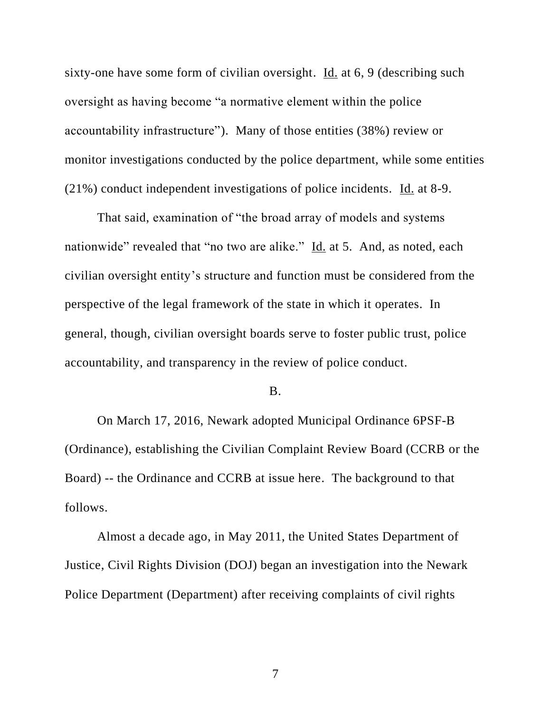sixty-one have some form of civilian oversight. Id. at 6, 9 (describing such oversight as having become "a normative element within the police accountability infrastructure"). Many of those entities (38%) review or monitor investigations conducted by the police department, while some entities (21%) conduct independent investigations of police incidents. Id. at 8-9.

That said, examination of "the broad array of models and systems nationwide" revealed that "no two are alike." Id. at 5. And, as noted, each civilian oversight entity's structure and function must be considered from the perspective of the legal framework of the state in which it operates. In general, though, civilian oversight boards serve to foster public trust, police accountability, and transparency in the review of police conduct.

#### B.

On March 17, 2016, Newark adopted Municipal Ordinance 6PSF-B (Ordinance), establishing the Civilian Complaint Review Board (CCRB or the Board) -- the Ordinance and CCRB at issue here. The background to that follows.

Almost a decade ago, in May 2011, the United States Department of Justice, Civil Rights Division (DOJ) began an investigation into the Newark Police Department (Department) after receiving complaints of civil rights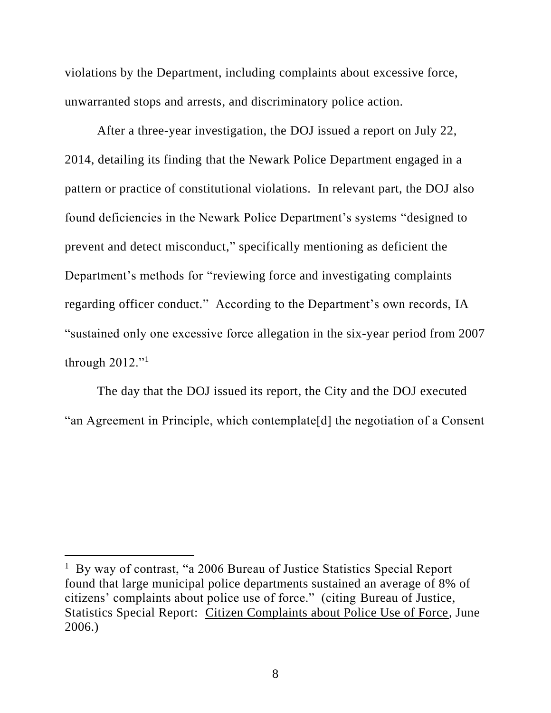violations by the Department, including complaints about excessive force, unwarranted stops and arrests, and discriminatory police action.

After a three-year investigation, the DOJ issued a report on July 22, 2014, detailing its finding that the Newark Police Department engaged in a pattern or practice of constitutional violations. In relevant part, the DOJ also found deficiencies in the Newark Police Department's systems "designed to prevent and detect misconduct," specifically mentioning as deficient the Department's methods for "reviewing force and investigating complaints regarding officer conduct." According to the Department's own records, IA "sustained only one excessive force allegation in the six-year period from 2007 through  $2012$ ."

The day that the DOJ issued its report, the City and the DOJ executed "an Agreement in Principle, which contemplate[d] the negotiation of a Consent

<sup>&</sup>lt;sup>1</sup> By way of contrast, "a 2006 Bureau of Justice Statistics Special Report found that large municipal police departments sustained an average of 8% of citizens' complaints about police use of force." (citing Bureau of Justice, Statistics Special Report: Citizen Complaints about Police Use of Force, June 2006.)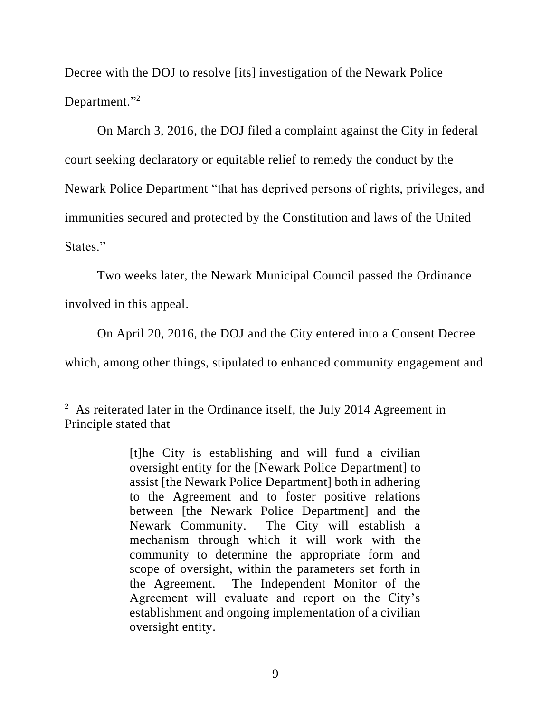Decree with the DOJ to resolve [its] investigation of the Newark Police Department."<sup>2</sup>

On March 3, 2016, the DOJ filed a complaint against the City in federal court seeking declaratory or equitable relief to remedy the conduct by the Newark Police Department "that has deprived persons of rights, privileges, and immunities secured and protected by the Constitution and laws of the United States."

Two weeks later, the Newark Municipal Council passed the Ordinance involved in this appeal.

On April 20, 2016, the DOJ and the City entered into a Consent Decree which, among other things, stipulated to enhanced community engagement and

 $2$  As reiterated later in the Ordinance itself, the July 2014 Agreement in Principle stated that

<sup>[</sup>t]he City is establishing and will fund a civilian oversight entity for the [Newark Police Department] to assist [the Newark Police Department] both in adhering to the Agreement and to foster positive relations between [the Newark Police Department] and the Newark Community. The City will establish a mechanism through which it will work with the community to determine the appropriate form and scope of oversight, within the parameters set forth in the Agreement. The Independent Monitor of the Agreement will evaluate and report on the City's establishment and ongoing implementation of a civilian oversight entity.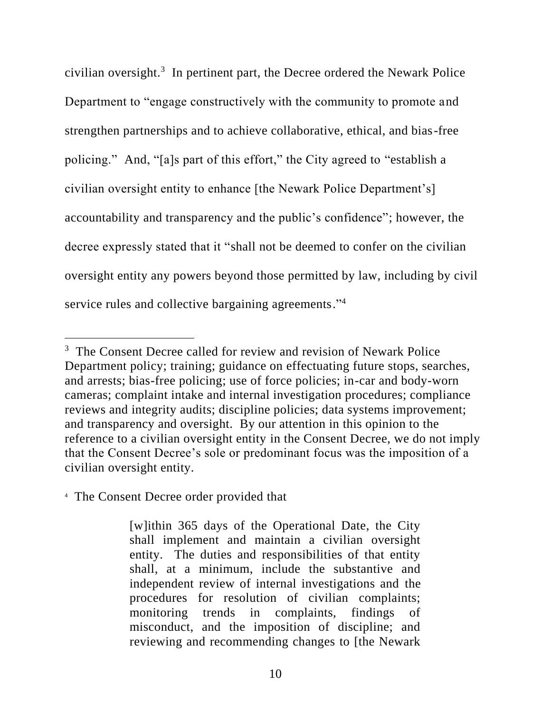civilian oversight.<sup>3</sup> In pertinent part, the Decree ordered the Newark Police Department to "engage constructively with the community to promote and strengthen partnerships and to achieve collaborative, ethical, and bias-free policing." And, "[a]s part of this effort," the City agreed to "establish a civilian oversight entity to enhance [the Newark Police Department's] accountability and transparency and the public's confidence"; however, the decree expressly stated that it "shall not be deemed to confer on the civilian oversight entity any powers beyond those permitted by law, including by civil service rules and collective bargaining agreements."<sup>4</sup>

<sup>&</sup>lt;sup>3</sup> The Consent Decree called for review and revision of Newark Police Department policy; training; guidance on effectuating future stops, searches, and arrests; bias-free policing; use of force policies; in-car and body-worn cameras; complaint intake and internal investigation procedures; compliance reviews and integrity audits; discipline policies; data systems improvement; and transparency and oversight. By our attention in this opinion to the reference to a civilian oversight entity in the Consent Decree, we do not imply that the Consent Decree's sole or predominant focus was the imposition of a civilian oversight entity.

<sup>4</sup> The Consent Decree order provided that

<sup>[</sup>w]ithin 365 days of the Operational Date, the City shall implement and maintain a civilian oversight entity. The duties and responsibilities of that entity shall, at a minimum, include the substantive and independent review of internal investigations and the procedures for resolution of civilian complaints; monitoring trends in complaints, findings of misconduct, and the imposition of discipline; and reviewing and recommending changes to [the Newark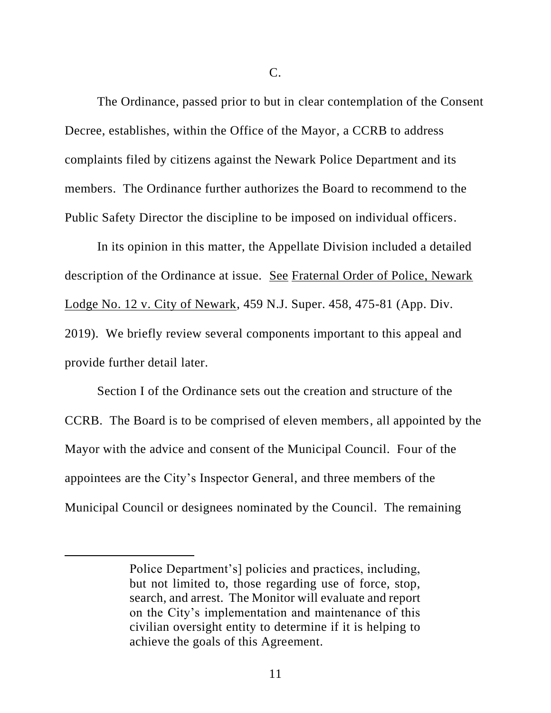C.

The Ordinance, passed prior to but in clear contemplation of the Consent Decree, establishes, within the Office of the Mayor, a CCRB to address complaints filed by citizens against the Newark Police Department and its members. The Ordinance further authorizes the Board to recommend to the Public Safety Director the discipline to be imposed on individual officers.

In its opinion in this matter, the Appellate Division included a detailed description of the Ordinance at issue. See Fraternal Order of Police, Newark Lodge No. 12 v. City of Newark, 459 N.J. Super. 458, 475-81 (App. Div. 2019). We briefly review several components important to this appeal and provide further detail later.

Section I of the Ordinance sets out the creation and structure of the CCRB. The Board is to be comprised of eleven members, all appointed by the Mayor with the advice and consent of the Municipal Council. Four of the appointees are the City's Inspector General, and three members of the Municipal Council or designees nominated by the Council. The remaining

Police Department's] policies and practices, including, but not limited to, those regarding use of force, stop, search, and arrest. The Monitor will evaluate and report on the City's implementation and maintenance of this civilian oversight entity to determine if it is helping to achieve the goals of this Agreement.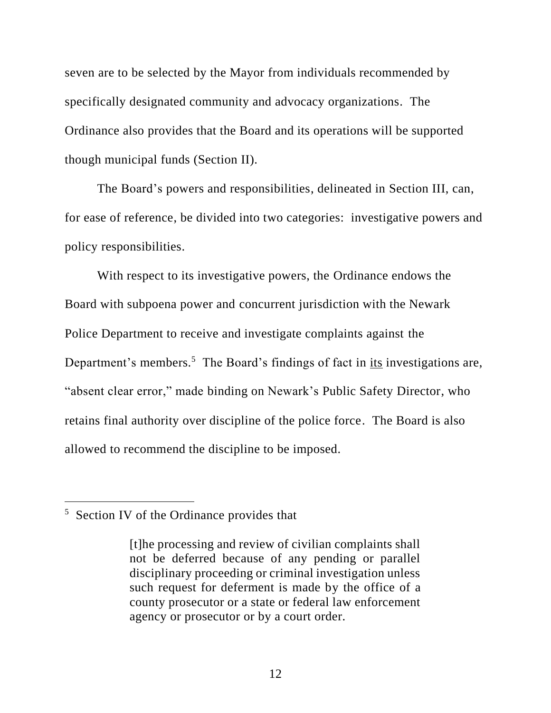seven are to be selected by the Mayor from individuals recommended by specifically designated community and advocacy organizations. The Ordinance also provides that the Board and its operations will be supported though municipal funds (Section II).

The Board's powers and responsibilities, delineated in Section III, can, for ease of reference, be divided into two categories: investigative powers and policy responsibilities.

With respect to its investigative powers, the Ordinance endows the Board with subpoena power and concurrent jurisdiction with the Newark Police Department to receive and investigate complaints against the Department's members.<sup>5</sup> The Board's findings of fact in  $\frac{its}{its}$  investigations are, "absent clear error," made binding on Newark's Public Safety Director, who retains final authority over discipline of the police force. The Board is also allowed to recommend the discipline to be imposed.

<sup>&</sup>lt;sup>5</sup> Section IV of the Ordinance provides that

<sup>[</sup>t]he processing and review of civilian complaints shall not be deferred because of any pending or parallel disciplinary proceeding or criminal investigation unless such request for deferment is made by the office of a county prosecutor or a state or federal law enforcement agency or prosecutor or by a court order.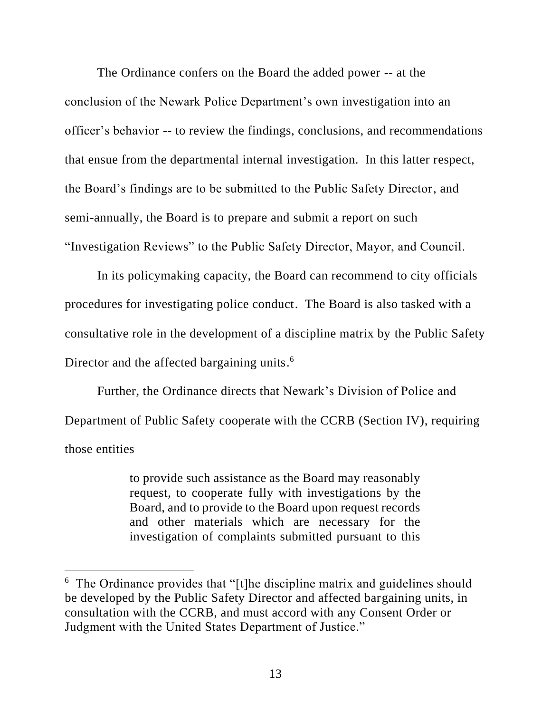The Ordinance confers on the Board the added power -- at the conclusion of the Newark Police Department's own investigation into an officer's behavior -- to review the findings, conclusions, and recommendations that ensue from the departmental internal investigation. In this latter respect, the Board's findings are to be submitted to the Public Safety Director, and semi-annually, the Board is to prepare and submit a report on such "Investigation Reviews" to the Public Safety Director, Mayor, and Council.

In its policymaking capacity, the Board can recommend to city officials procedures for investigating police conduct. The Board is also tasked with a consultative role in the development of a discipline matrix by the Public Safety Director and the affected bargaining units.<sup>6</sup>

Further, the Ordinance directs that Newark's Division of Police and Department of Public Safety cooperate with the CCRB (Section IV), requiring those entities

> to provide such assistance as the Board may reasonably request, to cooperate fully with investigations by the Board, and to provide to the Board upon request records and other materials which are necessary for the investigation of complaints submitted pursuant to this

<sup>&</sup>lt;sup>6</sup> The Ordinance provides that "[t]he discipline matrix and guidelines should be developed by the Public Safety Director and affected bargaining units, in consultation with the CCRB, and must accord with any Consent Order or Judgment with the United States Department of Justice."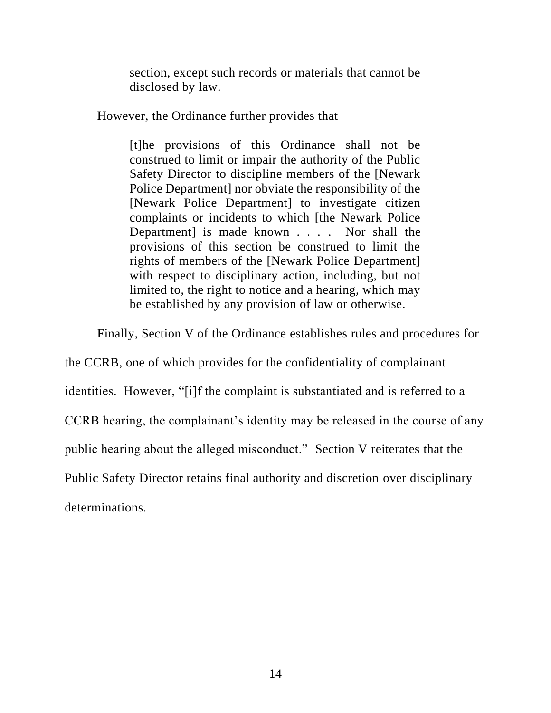section, except such records or materials that cannot be disclosed by law.

However, the Ordinance further provides that

[t]he provisions of this Ordinance shall not be construed to limit or impair the authority of the Public Safety Director to discipline members of the [Newark Police Department] nor obviate the responsibility of the [Newark Police Department] to investigate citizen complaints or incidents to which [the Newark Police Department] is made known . . . . Nor shall the provisions of this section be construed to limit the rights of members of the [Newark Police Department] with respect to disciplinary action, including, but not limited to, the right to notice and a hearing, which may be established by any provision of law or otherwise.

Finally, Section V of the Ordinance establishes rules and procedures for

the CCRB, one of which provides for the confidentiality of complainant identities. However, "[i]f the complaint is substantiated and is referred to a CCRB hearing, the complainant's identity may be released in the course of any public hearing about the alleged misconduct." Section V reiterates that the Public Safety Director retains final authority and discretion over disciplinary determinations.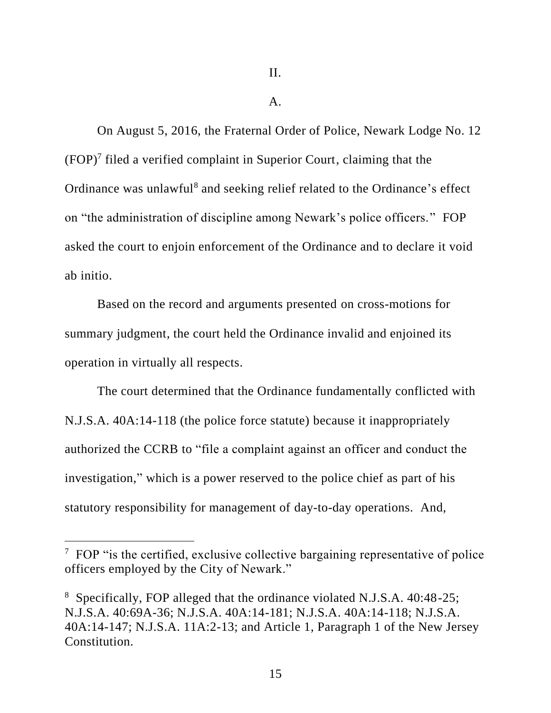#### $A<sub>1</sub>$

On August 5, 2016, the Fraternal Order of Police, Newark Lodge No. 12  $(FOP)<sup>7</sup>$  filed a verified complaint in Superior Court, claiming that the Ordinance was unlawful<sup>8</sup> and seeking relief related to the Ordinance's effect on "the administration of discipline among Newark's police officers." FOP asked the court to enjoin enforcement of the Ordinance and to declare it void ab initio.

Based on the record and arguments presented on cross-motions for summary judgment, the court held the Ordinance invalid and enjoined its operation in virtually all respects.

The court determined that the Ordinance fundamentally conflicted with N.J.S.A. 40A:14-118 (the police force statute) because it inappropriately authorized the CCRB to "file a complaint against an officer and conduct the investigation," which is a power reserved to the police chief as part of his statutory responsibility for management of day-to-day operations. And,

 $7$  FOP "is the certified, exclusive collective bargaining representative of police officers employed by the City of Newark."

<sup>8</sup> Specifically, FOP alleged that the ordinance violated N.J.S.A. 40:48-25; N.J.S.A. 40:69A-36; N.J.S.A. 40A:14-181; N.J.S.A. 40A:14-118; N.J.S.A. 40A:14-147; N.J.S.A. 11A:2-13; and Article 1, Paragraph 1 of the New Jersey Constitution.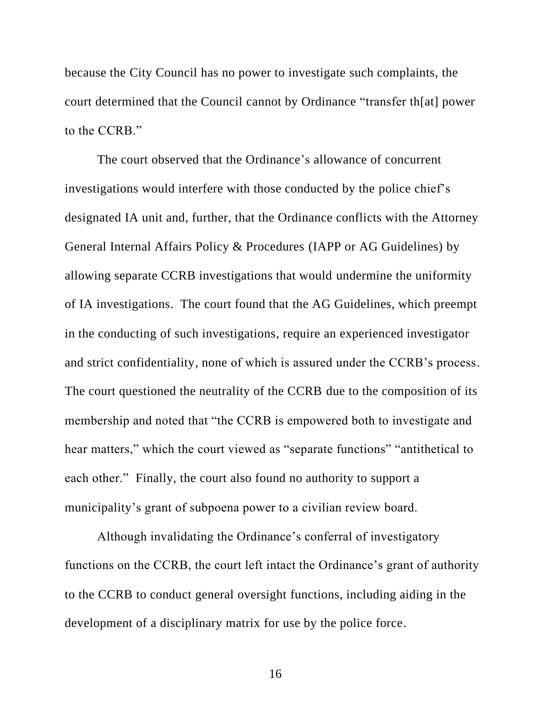because the City Council has no power to investigate such complaints, the court determined that the Council cannot by Ordinance "transfer th[at] power to the CCRB."

The court observed that the Ordinance's allowance of concurrent investigations would interfere with those conducted by the police chief's designated IA unit and, further, that the Ordinance conflicts with the Attorney General Internal Affairs Policy & Procedures (IAPP or AG Guidelines) by allowing separate CCRB investigations that would undermine the uniformity of IA investigations. The court found that the AG Guidelines, which preempt in the conducting of such investigations, require an experienced investigator and strict confidentiality, none of which is assured under the CCRB's process. The court questioned the neutrality of the CCRB due to the composition of its membership and noted that "the CCRB is empowered both to investigate and hear matters," which the court viewed as "separate functions" "antithetical to each other." Finally, the court also found no authority to support a municipality's grant of subpoena power to a civilian review board.

Although invalidating the Ordinance's conferral of investigatory functions on the CCRB, the court left intact the Ordinance's grant of authority to the CCRB to conduct general oversight functions, including aiding in the development of a disciplinary matrix for use by the police force.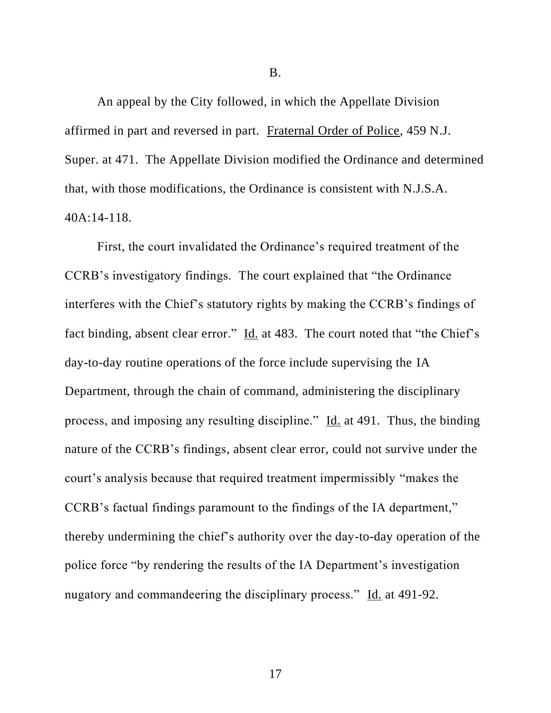B.

An appeal by the City followed, in which the Appellate Division affirmed in part and reversed in part. Fraternal Order of Police, 459 N.J. Super. at 471. The Appellate Division modified the Ordinance and determined that, with those modifications, the Ordinance is consistent with N.J.S.A. 40A:14-118.

First, the court invalidated the Ordinance's required treatment of the CCRB's investigatory findings. The court explained that "the Ordinance interferes with the Chief's statutory rights by making the CCRB's findings of fact binding, absent clear error." Id. at 483. The court noted that "the Chief's day-to-day routine operations of the force include supervising the IA Department, through the chain of command, administering the disciplinary process, and imposing any resulting discipline." Id. at 491. Thus, the binding nature of the CCRB's findings, absent clear error, could not survive under the court's analysis because that required treatment impermissibly "makes the CCRB's factual findings paramount to the findings of the IA department," thereby undermining the chief's authority over the day-to-day operation of the police force "by rendering the results of the IA Department's investigation nugatory and commandeering the disciplinary process." Id. at 491-92.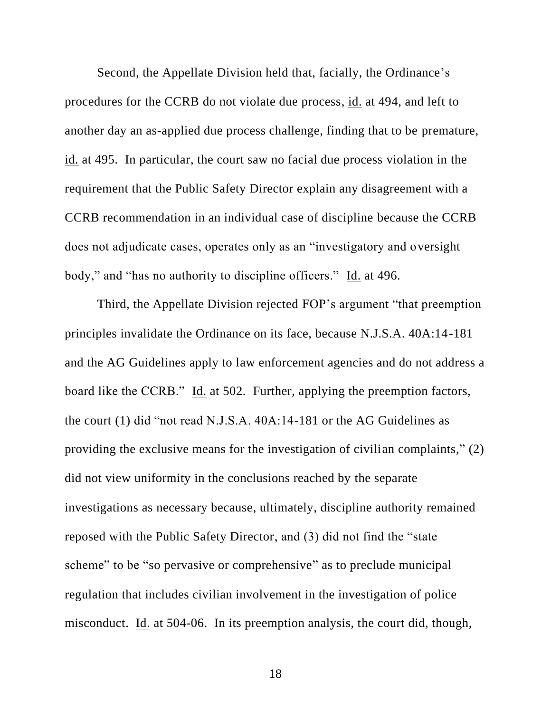Second, the Appellate Division held that, facially, the Ordinance's procedures for the CCRB do not violate due process, id. at 494, and left to another day an as-applied due process challenge, finding that to be premature, id. at 495. In particular, the court saw no facial due process violation in the requirement that the Public Safety Director explain any disagreement with a CCRB recommendation in an individual case of discipline because the CCRB does not adjudicate cases, operates only as an "investigatory and oversight body," and "has no authority to discipline officers." Id. at 496.

Third, the Appellate Division rejected FOP's argument "that preemption principles invalidate the Ordinance on its face, because N.J.S.A. 40A:14-181 and the AG Guidelines apply to law enforcement agencies and do not address a board like the CCRB." Id. at 502. Further, applying the preemption factors, the court (1) did "not read N.J.S.A. 40A:14-181 or the AG Guidelines as providing the exclusive means for the investigation of civilian complaints," (2) did not view uniformity in the conclusions reached by the separate investigations as necessary because, ultimately, discipline authority remained reposed with the Public Safety Director, and (3) did not find the "state scheme" to be "so pervasive or comprehensive" as to preclude municipal regulation that includes civilian involvement in the investigation of police misconduct. Id. at 504-06. In its preemption analysis, the court did, though,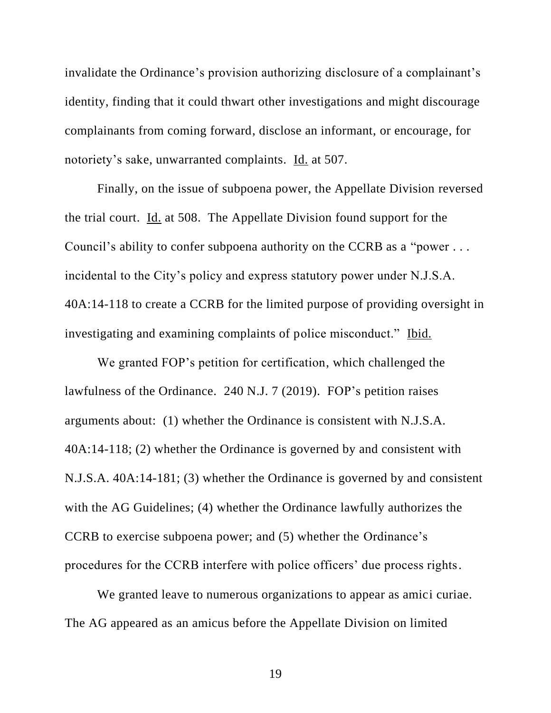invalidate the Ordinance's provision authorizing disclosure of a complainant's identity, finding that it could thwart other investigations and might discourage complainants from coming forward, disclose an informant, or encourage, for notoriety's sake, unwarranted complaints. Id. at 507.

Finally, on the issue of subpoena power, the Appellate Division reversed the trial court. Id. at 508. The Appellate Division found support for the Council's ability to confer subpoena authority on the CCRB as a "power . . . incidental to the City's policy and express statutory power under N.J.S.A. 40A:14-118 to create a CCRB for the limited purpose of providing oversight in investigating and examining complaints of police misconduct." Ibid.

We granted FOP's petition for certification, which challenged the lawfulness of the Ordinance. 240 N.J. 7 (2019). FOP's petition raises arguments about: (1) whether the Ordinance is consistent with N.J.S.A. 40A:14-118; (2) whether the Ordinance is governed by and consistent with N.J.S.A. 40A:14-181; (3) whether the Ordinance is governed by and consistent with the AG Guidelines; (4) whether the Ordinance lawfully authorizes the CCRB to exercise subpoena power; and (5) whether the Ordinance's procedures for the CCRB interfere with police officers' due process rights.

We granted leave to numerous organizations to appear as amici curiae. The AG appeared as an amicus before the Appellate Division on limited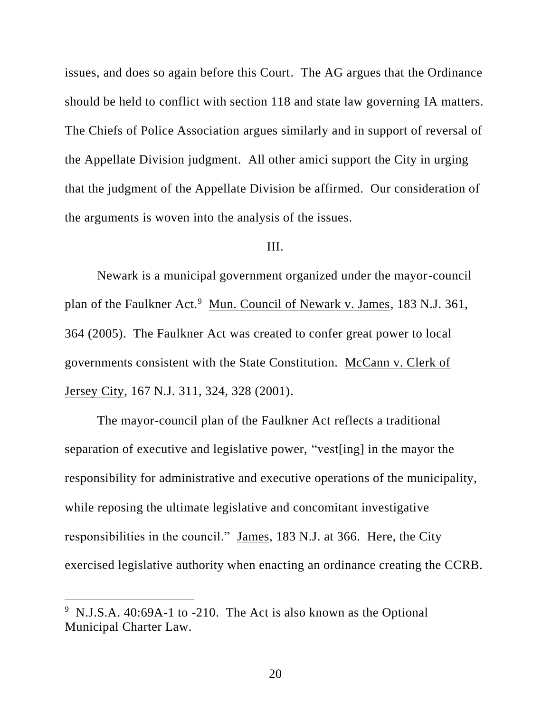issues, and does so again before this Court. The AG argues that the Ordinance should be held to conflict with section 118 and state law governing IA matters. The Chiefs of Police Association argues similarly and in support of reversal of the Appellate Division judgment. All other amici support the City in urging that the judgment of the Appellate Division be affirmed. Our consideration of the arguments is woven into the analysis of the issues.

# III.

Newark is a municipal government organized under the mayor-council plan of the Faulkner Act.<sup>9</sup> Mun. Council of Newark v. James, 183 N.J. 361, 364 (2005). The Faulkner Act was created to confer great power to local governments consistent with the State Constitution. McCann v. Clerk of Jersey City, 167 N.J. 311, 324, 328 (2001).

The mayor-council plan of the Faulkner Act reflects a traditional separation of executive and legislative power, "vest[ing] in the mayor the responsibility for administrative and executive operations of the municipality, while reposing the ultimate legislative and concomitant investigative responsibilities in the council." James, 183 N.J. at 366. Here, the City exercised legislative authority when enacting an ordinance creating the CCRB.

 $9$  N.J.S.A. 40:69A-1 to -210. The Act is also known as the Optional Municipal Charter Law.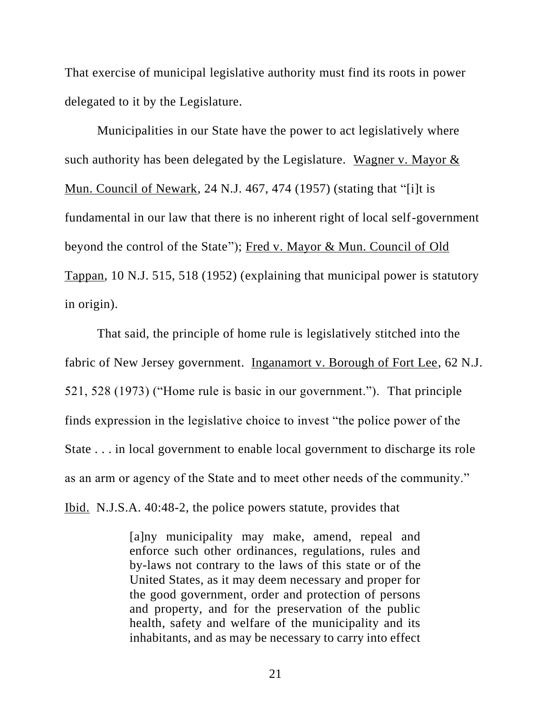That exercise of municipal legislative authority must find its roots in power delegated to it by the Legislature.

Municipalities in our State have the power to act legislatively where such authority has been delegated by the Legislature. Wagner v. Mayor & Mun. Council of Newark, 24 N.J. 467, 474 (1957) (stating that "[i]t is fundamental in our law that there is no inherent right of local self-government beyond the control of the State"); Fred v. Mayor & Mun. Council of Old Tappan, 10 N.J. 515, 518 (1952) (explaining that municipal power is statutory in origin).

That said, the principle of home rule is legislatively stitched into the fabric of New Jersey government. Inganamort v. Borough of Fort Lee, 62 N.J. 521, 528 (1973) ("Home rule is basic in our government."). That principle finds expression in the legislative choice to invest "the police power of the State . . . in local government to enable local government to discharge its role as an arm or agency of the State and to meet other needs of the community." Ibid. N.J.S.A. 40:48-2, the police powers statute, provides that

> [a]ny municipality may make, amend, repeal and enforce such other ordinances, regulations, rules and by-laws not contrary to the laws of this state or of the United States, as it may deem necessary and proper for the good government, order and protection of persons and property, and for the preservation of the public health, safety and welfare of the municipality and its inhabitants, and as may be necessary to carry into effect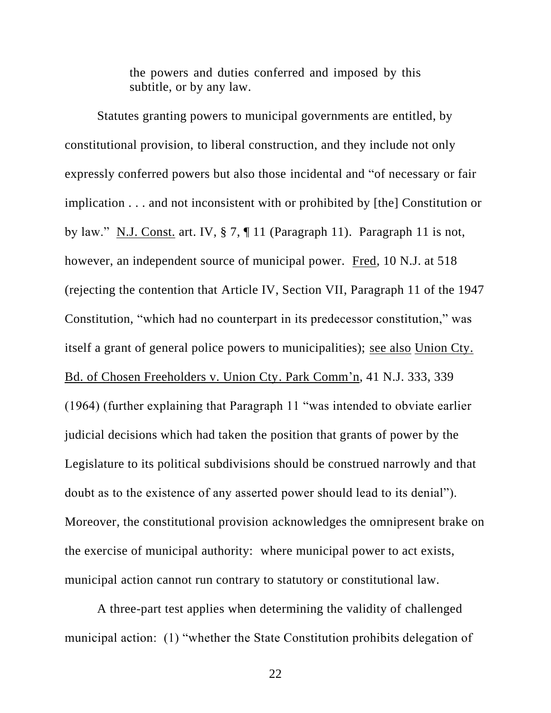the powers and duties conferred and imposed by this subtitle, or by any law.

Statutes granting powers to municipal governments are entitled, by constitutional provision, to liberal construction, and they include not only expressly conferred powers but also those incidental and "of necessary or fair implication . . . and not inconsistent with or prohibited by [the] Constitution or by law." N.J. Const. art. IV, § 7, ¶ 11 (Paragraph 11). Paragraph 11 is not, however, an independent source of municipal power. Fred, 10 N.J. at 518 (rejecting the contention that Article IV, Section VII, Paragraph 11 of the 1947 Constitution, "which had no counterpart in its predecessor constitution," was itself a grant of general police powers to municipalities); see also Union Cty. Bd. of Chosen Freeholders v. Union Cty. Park Comm'n, 41 N.J. 333, 339 (1964) (further explaining that Paragraph 11 "was intended to obviate earlier judicial decisions which had taken the position that grants of power by the Legislature to its political subdivisions should be construed narrowly and that doubt as to the existence of any asserted power should lead to its denial"). Moreover, the constitutional provision acknowledges the omnipresent brake on the exercise of municipal authority: where municipal power to act exists, municipal action cannot run contrary to statutory or constitutional law.

A three-part test applies when determining the validity of challenged municipal action: (1) "whether the State Constitution prohibits delegation of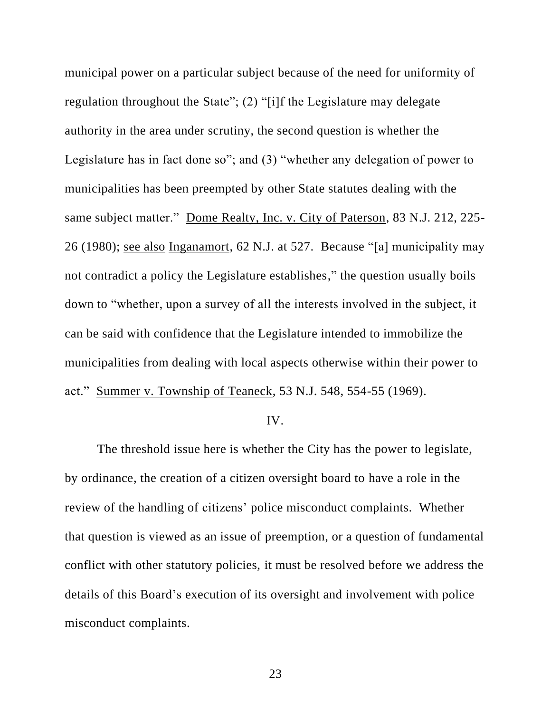municipal power on a particular subject because of the need for uniformity of regulation throughout the State"; (2) "[i]f the Legislature may delegate authority in the area under scrutiny, the second question is whether the Legislature has in fact done so"; and (3) "whether any delegation of power to municipalities has been preempted by other State statutes dealing with the same subject matter." Dome Realty, Inc. v. City of Paterson, 83 N.J. 212, 225- 26 (1980); see also Inganamort, 62 N.J. at 527. Because "[a] municipality may not contradict a policy the Legislature establishes," the question usually boils down to "whether, upon a survey of all the interests involved in the subject, it can be said with confidence that the Legislature intended to immobilize the municipalities from dealing with local aspects otherwise within their power to act." Summer v. Township of Teaneck, 53 N.J. 548, 554-55 (1969).

#### IV.

The threshold issue here is whether the City has the power to legislate, by ordinance, the creation of a citizen oversight board to have a role in the review of the handling of citizens' police misconduct complaints. Whether that question is viewed as an issue of preemption, or a question of fundamental conflict with other statutory policies, it must be resolved before we address the details of this Board's execution of its oversight and involvement with police misconduct complaints.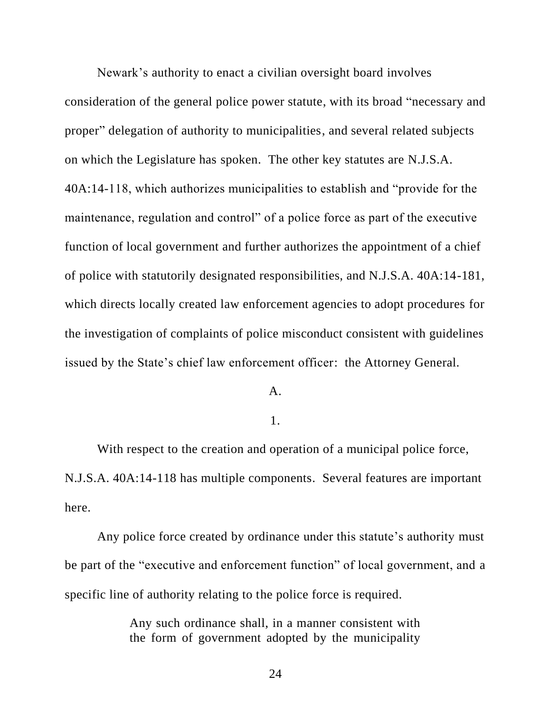Newark's authority to enact a civilian oversight board involves consideration of the general police power statute, with its broad "necessary and proper" delegation of authority to municipalities, and several related subjects on which the Legislature has spoken. The other key statutes are N.J.S.A. 40A:14-118, which authorizes municipalities to establish and "provide for the maintenance, regulation and control" of a police force as part of the executive function of local government and further authorizes the appointment of a chief of police with statutorily designated responsibilities, and N.J.S.A. 40A:14-181, which directs locally created law enforcement agencies to adopt procedures for the investigation of complaints of police misconduct consistent with guidelines issued by the State's chief law enforcement officer: the Attorney General.

A.

# 1.

With respect to the creation and operation of a municipal police force, N.J.S.A. 40A:14-118 has multiple components. Several features are important here.

Any police force created by ordinance under this statute's authority must be part of the "executive and enforcement function" of local government, and a specific line of authority relating to the police force is required.

> Any such ordinance shall, in a manner consistent with the form of government adopted by the municipality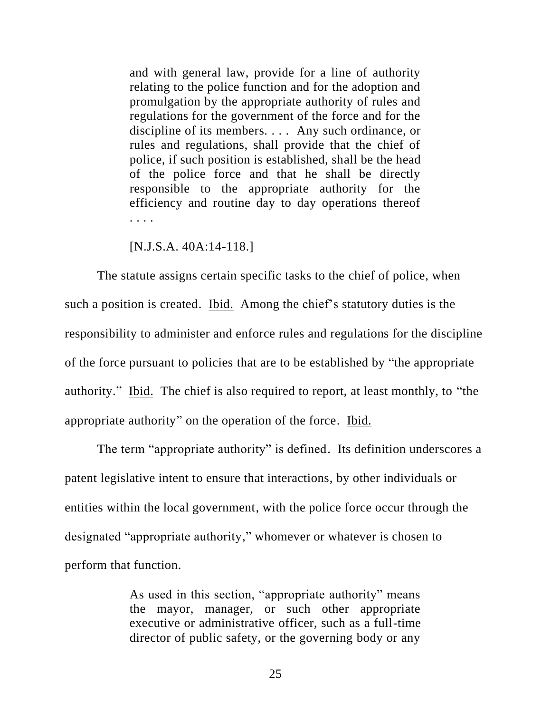and with general law, provide for a line of authority relating to the police function and for the adoption and promulgation by the appropriate authority of rules and regulations for the government of the force and for the discipline of its members. . . . Any such ordinance, or rules and regulations, shall provide that the chief of police, if such position is established, shall be the head of the police force and that he shall be directly responsible to the appropriate authority for the efficiency and routine day to day operations thereof . . . .

### [N.J.S.A. 40A:14-118.]

The statute assigns certain specific tasks to the chief of police, when such a position is created. Ibid. Among the chief's statutory duties is the responsibility to administer and enforce rules and regulations for the discipline of the force pursuant to policies that are to be established by "the appropriate authority." Ibid. The chief is also required to report, at least monthly, to "the appropriate authority" on the operation of the force. Ibid.

The term "appropriate authority" is defined. Its definition underscores a patent legislative intent to ensure that interactions, by other individuals or entities within the local government, with the police force occur through the designated "appropriate authority," whomever or whatever is chosen to perform that function.

> As used in this section, "appropriate authority" means the mayor, manager, or such other appropriate executive or administrative officer, such as a full-time director of public safety, or the governing body or any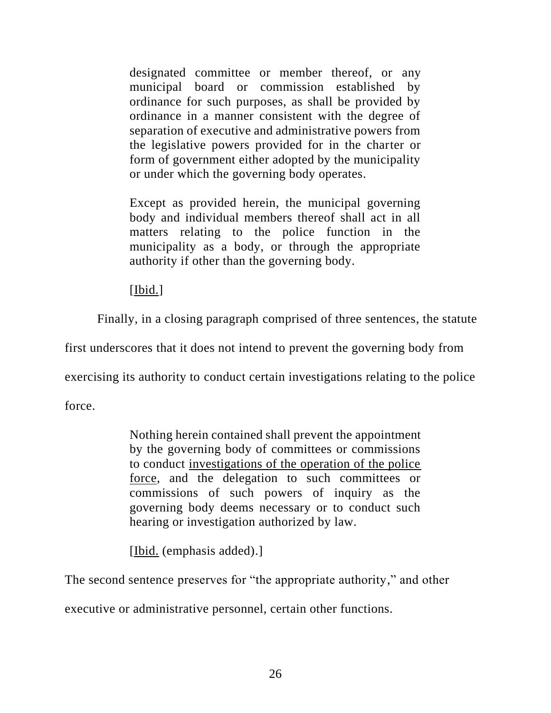designated committee or member thereof, or any municipal board or commission established by ordinance for such purposes, as shall be provided by ordinance in a manner consistent with the degree of separation of executive and administrative powers from the legislative powers provided for in the charter or form of government either adopted by the municipality or under which the governing body operates.

Except as provided herein, the municipal governing body and individual members thereof shall act in all matters relating to the police function in the municipality as a body, or through the appropriate authority if other than the governing body.

[Ibid.]

Finally, in a closing paragraph comprised of three sentences, the statute

first underscores that it does not intend to prevent the governing body from

exercising its authority to conduct certain investigations relating to the police

force.

Nothing herein contained shall prevent the appointment by the governing body of committees or commissions to conduct investigations of the operation of the police force, and the delegation to such committees or commissions of such powers of inquiry as the governing body deems necessary or to conduct such hearing or investigation authorized by law.

[Ibid. (emphasis added).]

The second sentence preserves for "the appropriate authority," and other

executive or administrative personnel, certain other functions.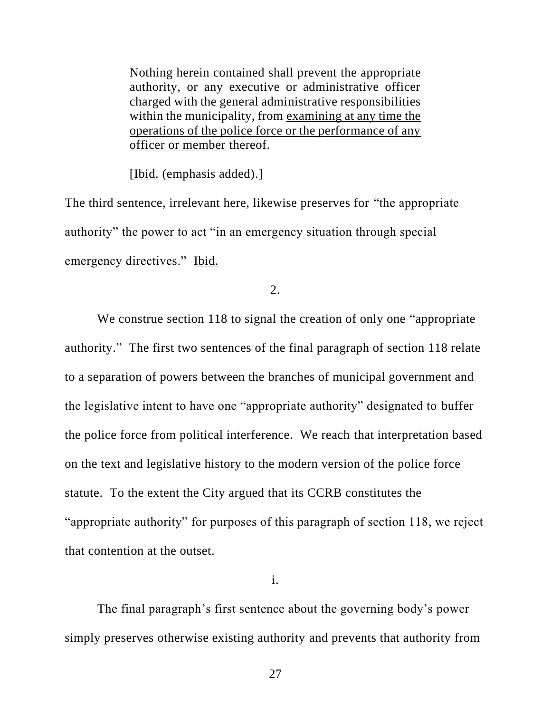Nothing herein contained shall prevent the appropriate authority, or any executive or administrative officer charged with the general administrative responsibilities within the municipality, from examining at any time the operations of the police force or the performance of any officer or member thereof.

[Ibid. (emphasis added).]

The third sentence, irrelevant here, likewise preserves for "the appropriate authority" the power to act "in an emergency situation through special emergency directives." Ibid.

2.

We construe section 118 to signal the creation of only one "appropriate" authority." The first two sentences of the final paragraph of section 118 relate to a separation of powers between the branches of municipal government and the legislative intent to have one "appropriate authority" designated to buffer the police force from political interference. We reach that interpretation based on the text and legislative history to the modern version of the police force statute. To the extent the City argued that its CCRB constitutes the "appropriate authority" for purposes of this paragraph of section 118, we reject that contention at the outset.

i.

The final paragraph's first sentence about the governing body's power simply preserves otherwise existing authority and prevents that authority from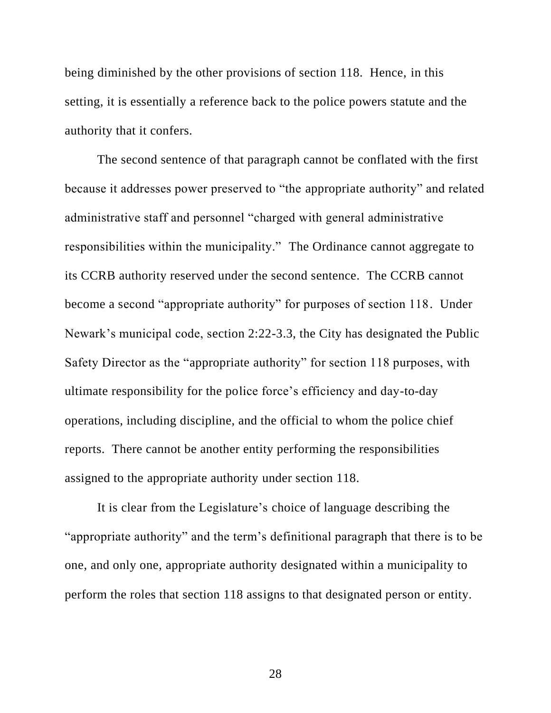being diminished by the other provisions of section 118. Hence, in this setting, it is essentially a reference back to the police powers statute and the authority that it confers.

The second sentence of that paragraph cannot be conflated with the first because it addresses power preserved to "the appropriate authority" and related administrative staff and personnel "charged with general administrative responsibilities within the municipality." The Ordinance cannot aggregate to its CCRB authority reserved under the second sentence. The CCRB cannot become a second "appropriate authority" for purposes of section 118. Under Newark's municipal code, section 2:22-3.3, the City has designated the Public Safety Director as the "appropriate authority" for section 118 purposes, with ultimate responsibility for the police force's efficiency and day-to-day operations, including discipline, and the official to whom the police chief reports. There cannot be another entity performing the responsibilities assigned to the appropriate authority under section 118.

It is clear from the Legislature's choice of language describing the "appropriate authority" and the term's definitional paragraph that there is to be one, and only one, appropriate authority designated within a municipality to perform the roles that section 118 assigns to that designated person or entity.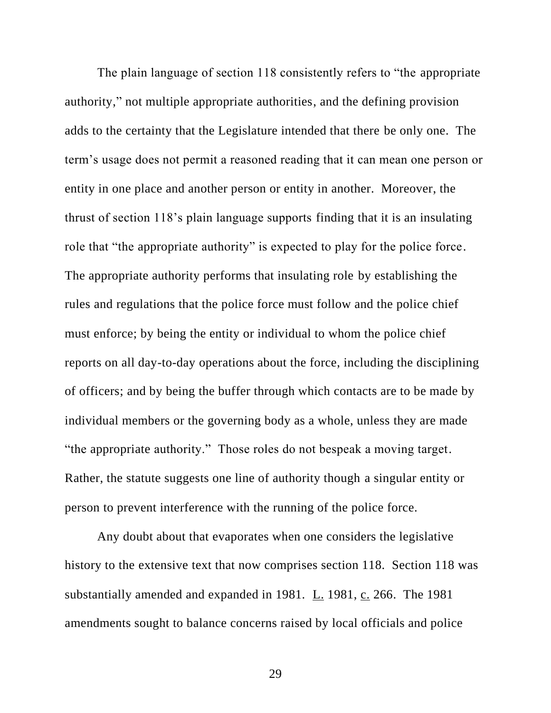The plain language of section 118 consistently refers to "the appropriate authority," not multiple appropriate authorities, and the defining provision adds to the certainty that the Legislature intended that there be only one. The term's usage does not permit a reasoned reading that it can mean one person or entity in one place and another person or entity in another. Moreover, the thrust of section 118's plain language supports finding that it is an insulating role that "the appropriate authority" is expected to play for the police force. The appropriate authority performs that insulating role by establishing the rules and regulations that the police force must follow and the police chief must enforce; by being the entity or individual to whom the police chief reports on all day-to-day operations about the force, including the disciplining of officers; and by being the buffer through which contacts are to be made by individual members or the governing body as a whole, unless they are made "the appropriate authority." Those roles do not bespeak a moving target. Rather, the statute suggests one line of authority though a singular entity or person to prevent interference with the running of the police force.

Any doubt about that evaporates when one considers the legislative history to the extensive text that now comprises section 118. Section 118 was substantially amended and expanded in 1981. L. 1981, c. 266. The 1981 amendments sought to balance concerns raised by local officials and police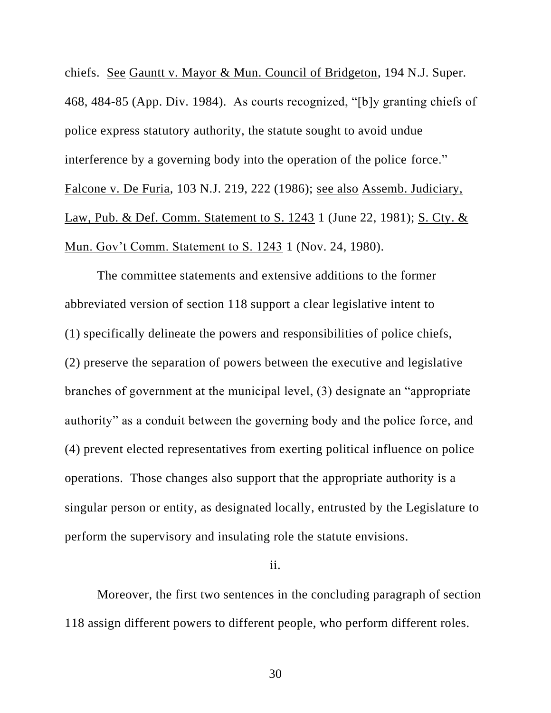chiefs. See Gauntt v. Mayor & Mun. Council of Bridgeton, 194 N.J. Super. 468, 484-85 (App. Div. 1984). As courts recognized, "[b]y granting chiefs of police express statutory authority, the statute sought to avoid undue interference by a governing body into the operation of the police force." Falcone v. De Furia, 103 N.J. 219, 222 (1986); see also Assemb. Judiciary, Law, Pub. & Def. Comm. Statement to S. 1243 1 (June 22, 1981); S. Cty. & Mun. Gov't Comm. Statement to S. 1243 1 (Nov. 24, 1980).

The committee statements and extensive additions to the former abbreviated version of section 118 support a clear legislative intent to (1) specifically delineate the powers and responsibilities of police chiefs, (2) preserve the separation of powers between the executive and legislative branches of government at the municipal level, (3) designate an "appropriate authority" as a conduit between the governing body and the police force, and (4) prevent elected representatives from exerting political influence on police operations. Those changes also support that the appropriate authority is a singular person or entity, as designated locally, entrusted by the Legislature to perform the supervisory and insulating role the statute envisions.

ii.

Moreover, the first two sentences in the concluding paragraph of section 118 assign different powers to different people, who perform different roles.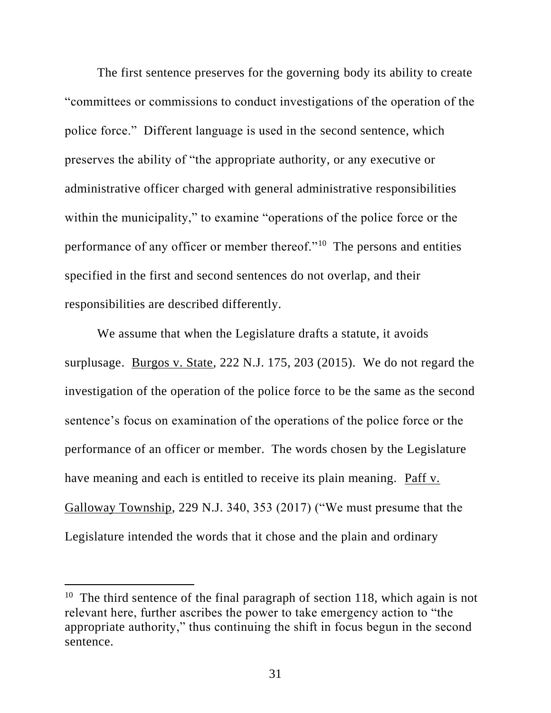The first sentence preserves for the governing body its ability to create "committees or commissions to conduct investigations of the operation of the police force." Different language is used in the second sentence, which preserves the ability of "the appropriate authority, or any executive or administrative officer charged with general administrative responsibilities within the municipality," to examine "operations of the police force or the performance of any officer or member thereof."<sup>10</sup> The persons and entities specified in the first and second sentences do not overlap, and their responsibilities are described differently.

We assume that when the Legislature drafts a statute, it avoids surplusage. Burgos v. State, 222 N.J. 175, 203 (2015). We do not regard the investigation of the operation of the police force to be the same as the second sentence's focus on examination of the operations of the police force or the performance of an officer or member. The words chosen by the Legislature have meaning and each is entitled to receive its plain meaning. Paff v. Galloway Township, 229 N.J. 340, 353 (2017) ("We must presume that the Legislature intended the words that it chose and the plain and ordinary

<sup>&</sup>lt;sup>10</sup> The third sentence of the final paragraph of section 118, which again is not relevant here, further ascribes the power to take emergency action to "the appropriate authority," thus continuing the shift in focus begun in the second sentence.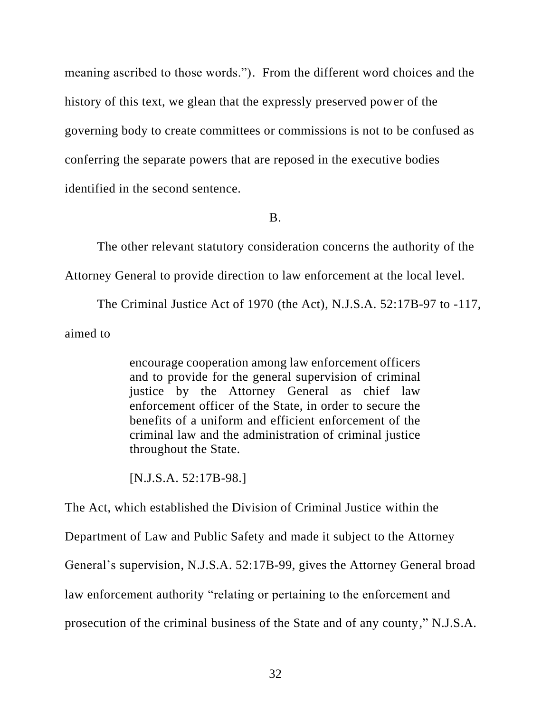meaning ascribed to those words."). From the different word choices and the history of this text, we glean that the expressly preserved power of the governing body to create committees or commissions is not to be confused as conferring the separate powers that are reposed in the executive bodies identified in the second sentence.

B.

The other relevant statutory consideration concerns the authority of the Attorney General to provide direction to law enforcement at the local level.

The Criminal Justice Act of 1970 (the Act), N.J.S.A. 52:17B-97 to -117, aimed to

> encourage cooperation among law enforcement officers and to provide for the general supervision of criminal justice by the Attorney General as chief law enforcement officer of the State, in order to secure the benefits of a uniform and efficient enforcement of the criminal law and the administration of criminal justice throughout the State.

[N.J.S.A. 52:17B-98.]

The Act, which established the Division of Criminal Justice within the

Department of Law and Public Safety and made it subject to the Attorney

General's supervision, N.J.S.A. 52:17B-99, gives the Attorney General broad

law enforcement authority "relating or pertaining to the enforcement and

prosecution of the criminal business of the State and of any county," N.J.S.A.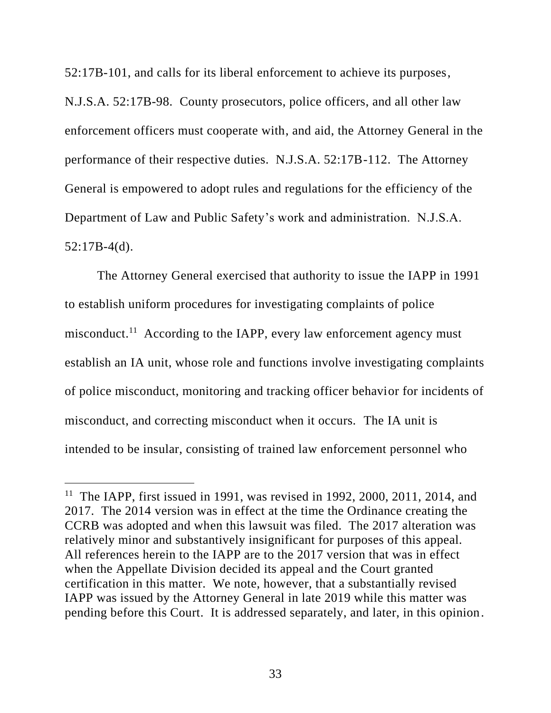52:17B-101, and calls for its liberal enforcement to achieve its purposes,

N.J.S.A. 52:17B-98. County prosecutors, police officers, and all other law enforcement officers must cooperate with, and aid, the Attorney General in the performance of their respective duties. N.J.S.A. 52:17B-112. The Attorney General is empowered to adopt rules and regulations for the efficiency of the Department of Law and Public Safety's work and administration. N.J.S.A. 52:17B-4(d).

The Attorney General exercised that authority to issue the IAPP in 1991 to establish uniform procedures for investigating complaints of police misconduct.<sup>11</sup> According to the IAPP, every law enforcement agency must establish an IA unit, whose role and functions involve investigating complaints of police misconduct, monitoring and tracking officer behavior for incidents of misconduct, and correcting misconduct when it occurs. The IA unit is intended to be insular, consisting of trained law enforcement personnel who

<sup>&</sup>lt;sup>11</sup> The IAPP, first issued in 1991, was revised in 1992, 2000, 2011, 2014, and 2017. The 2014 version was in effect at the time the Ordinance creating the CCRB was adopted and when this lawsuit was filed. The 2017 alteration was relatively minor and substantively insignificant for purposes of this appeal. All references herein to the IAPP are to the 2017 version that was in effect when the Appellate Division decided its appeal and the Court granted certification in this matter. We note, however, that a substantially revised IAPP was issued by the Attorney General in late 2019 while this matter was pending before this Court. It is addressed separately, and later, in this opinion.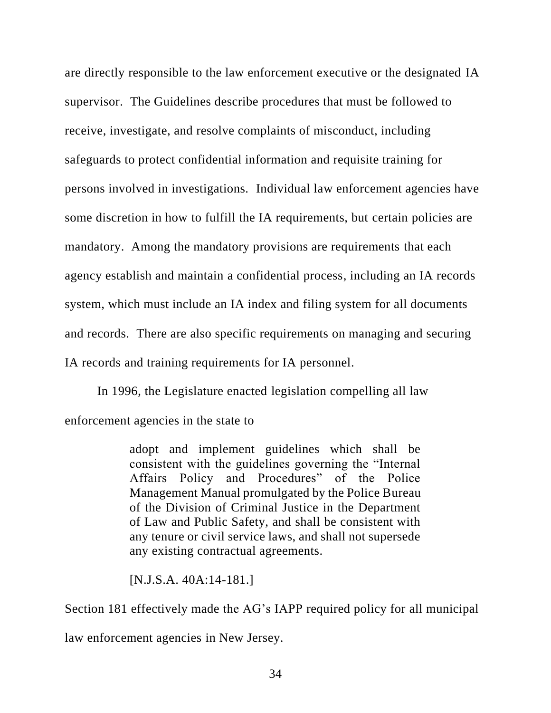are directly responsible to the law enforcement executive or the designated IA supervisor. The Guidelines describe procedures that must be followed to receive, investigate, and resolve complaints of misconduct, including safeguards to protect confidential information and requisite training for persons involved in investigations. Individual law enforcement agencies have some discretion in how to fulfill the IA requirements, but certain policies are mandatory. Among the mandatory provisions are requirements that each agency establish and maintain a confidential process, including an IA records system, which must include an IA index and filing system for all documents and records. There are also specific requirements on managing and securing IA records and training requirements for IA personnel.

In 1996, the Legislature enacted legislation compelling all law enforcement agencies in the state to

> adopt and implement guidelines which shall be consistent with the guidelines governing the "Internal Affairs Policy and Procedures" of the Police Management Manual promulgated by the Police Bureau of the Division of Criminal Justice in the Department of Law and Public Safety, and shall be consistent with any tenure or civil service laws, and shall not supersede any existing contractual agreements.

[N.J.S.A. 40A:14-181.]

Section 181 effectively made the AG's IAPP required policy for all municipal

law enforcement agencies in New Jersey.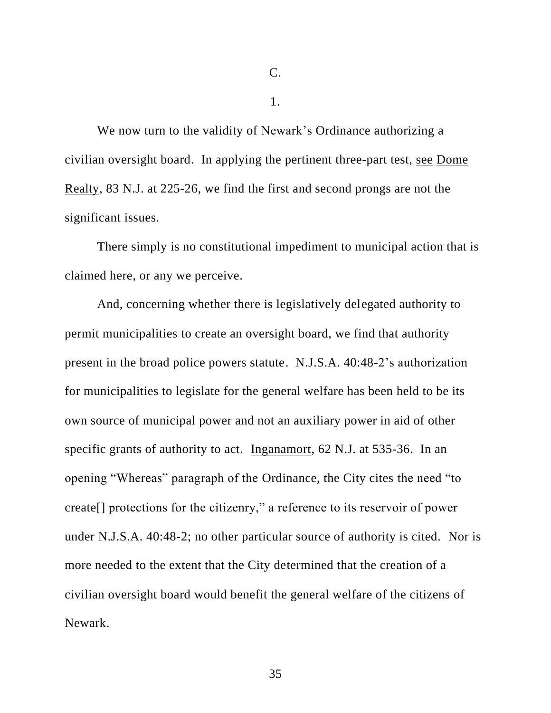C.

1.

We now turn to the validity of Newark's Ordinance authorizing a civilian oversight board. In applying the pertinent three-part test, see Dome Realty, 83 N.J. at 225-26, we find the first and second prongs are not the significant issues.

There simply is no constitutional impediment to municipal action that is claimed here, or any we perceive.

And, concerning whether there is legislatively delegated authority to permit municipalities to create an oversight board, we find that authority present in the broad police powers statute. N.J.S.A. 40:48-2's authorization for municipalities to legislate for the general welfare has been held to be its own source of municipal power and not an auxiliary power in aid of other specific grants of authority to act. Inganamort, 62 N.J. at 535-36. In an opening "Whereas" paragraph of the Ordinance, the City cites the need "to create[] protections for the citizenry," a reference to its reservoir of power under N.J.S.A. 40:48-2; no other particular source of authority is cited. Nor is more needed to the extent that the City determined that the creation of a civilian oversight board would benefit the general welfare of the citizens of Newark.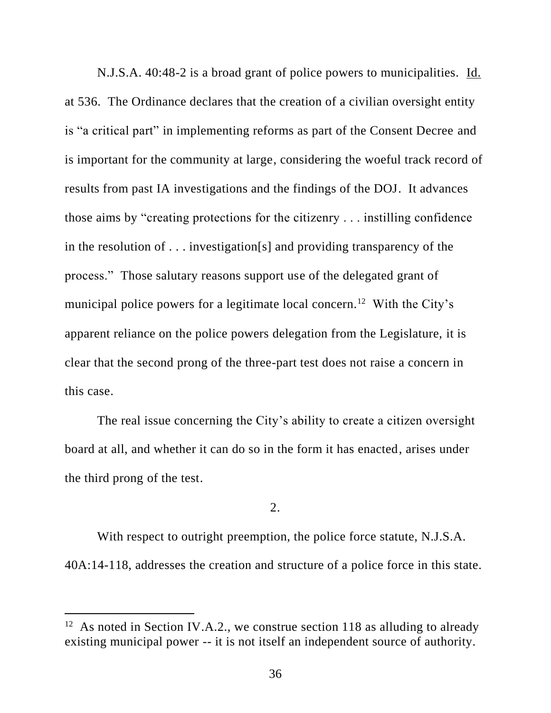N.J.S.A. 40:48-2 is a broad grant of police powers to municipalities. Id. at 536. The Ordinance declares that the creation of a civilian oversight entity is "a critical part" in implementing reforms as part of the Consent Decree and is important for the community at large, considering the woeful track record of results from past IA investigations and the findings of the DOJ. It advances those aims by "creating protections for the citizenry . . . instilling confidence in the resolution of . . . investigation[s] and providing transparency of the process." Those salutary reasons support use of the delegated grant of municipal police powers for a legitimate local concern.<sup>12</sup> With the City's apparent reliance on the police powers delegation from the Legislature, it is clear that the second prong of the three-part test does not raise a concern in this case.

The real issue concerning the City's ability to create a citizen oversight board at all, and whether it can do so in the form it has enacted, arises under the third prong of the test.

# 2.

With respect to outright preemption, the police force statute, N.J.S.A. 40A:14-118, addresses the creation and structure of a police force in this state.

<sup>&</sup>lt;sup>12</sup> As noted in Section IV.A.2., we construe section 118 as alluding to already existing municipal power -- it is not itself an independent source of authority.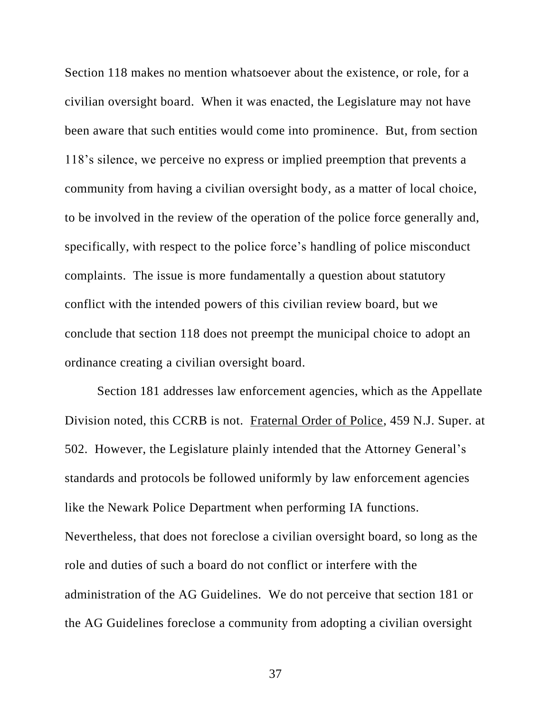Section 118 makes no mention whatsoever about the existence, or role, for a civilian oversight board. When it was enacted, the Legislature may not have been aware that such entities would come into prominence. But, from section 118's silence, we perceive no express or implied preemption that prevents a community from having a civilian oversight body, as a matter of local choice, to be involved in the review of the operation of the police force generally and, specifically, with respect to the police force's handling of police misconduct complaints. The issue is more fundamentally a question about statutory conflict with the intended powers of this civilian review board, but we conclude that section 118 does not preempt the municipal choice to adopt an ordinance creating a civilian oversight board.

Section 181 addresses law enforcement agencies, which as the Appellate Division noted, this CCRB is not. Fraternal Order of Police, 459 N.J. Super. at 502. However, the Legislature plainly intended that the Attorney General's standards and protocols be followed uniformly by law enforcement agencies like the Newark Police Department when performing IA functions. Nevertheless, that does not foreclose a civilian oversight board, so long as the role and duties of such a board do not conflict or interfere with the administration of the AG Guidelines. We do not perceive that section 181 or the AG Guidelines foreclose a community from adopting a civilian oversight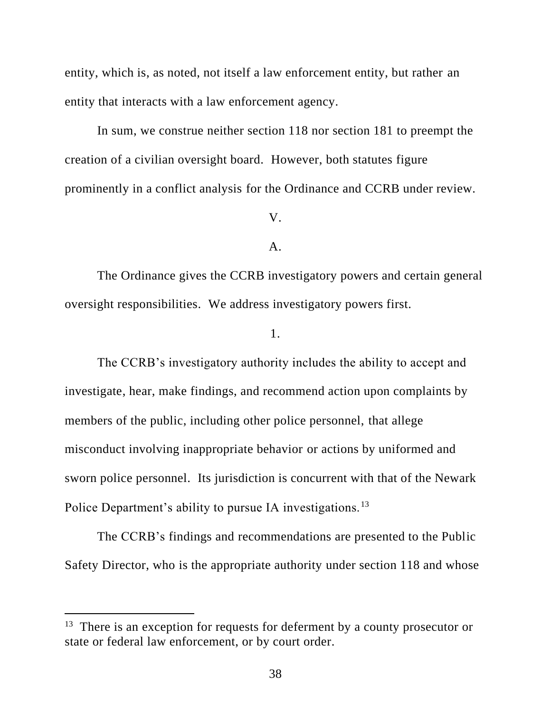entity, which is, as noted, not itself a law enforcement entity, but rather an entity that interacts with a law enforcement agency.

In sum, we construe neither section 118 nor section 181 to preempt the creation of a civilian oversight board. However, both statutes figure prominently in a conflict analysis for the Ordinance and CCRB under review.

#### V.

#### A.

The Ordinance gives the CCRB investigatory powers and certain general oversight responsibilities. We address investigatory powers first.

# 1.

The CCRB's investigatory authority includes the ability to accept and investigate, hear, make findings, and recommend action upon complaints by members of the public, including other police personnel, that allege misconduct involving inappropriate behavior or actions by uniformed and sworn police personnel. Its jurisdiction is concurrent with that of the Newark Police Department's ability to pursue IA investigations.<sup>13</sup>

The CCRB's findings and recommendations are presented to the Public Safety Director, who is the appropriate authority under section 118 and whose

<sup>&</sup>lt;sup>13</sup> There is an exception for requests for deferment by a county prosecutor or state or federal law enforcement, or by court order.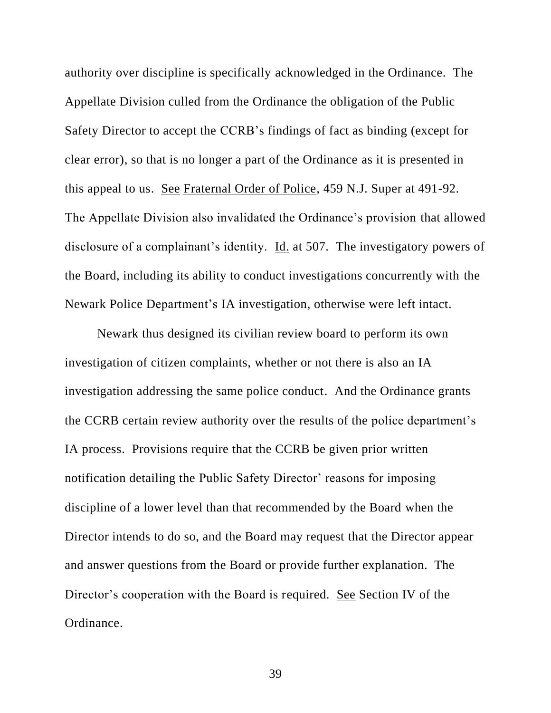authority over discipline is specifically acknowledged in the Ordinance. The Appellate Division culled from the Ordinance the obligation of the Public Safety Director to accept the CCRB's findings of fact as binding (except for clear error), so that is no longer a part of the Ordinance as it is presented in this appeal to us. See Fraternal Order of Police, 459 N.J. Super at 491-92. The Appellate Division also invalidated the Ordinance's provision that allowed disclosure of a complainant's identity. Id. at 507. The investigatory powers of the Board, including its ability to conduct investigations concurrently with the Newark Police Department's IA investigation, otherwise were left intact.

Newark thus designed its civilian review board to perform its own investigation of citizen complaints, whether or not there is also an IA investigation addressing the same police conduct. And the Ordinance grants the CCRB certain review authority over the results of the police department's IA process. Provisions require that the CCRB be given prior written notification detailing the Public Safety Director' reasons for imposing discipline of a lower level than that recommended by the Board when the Director intends to do so, and the Board may request that the Director appear and answer questions from the Board or provide further explanation. The Director's cooperation with the Board is required. See Section IV of the Ordinance.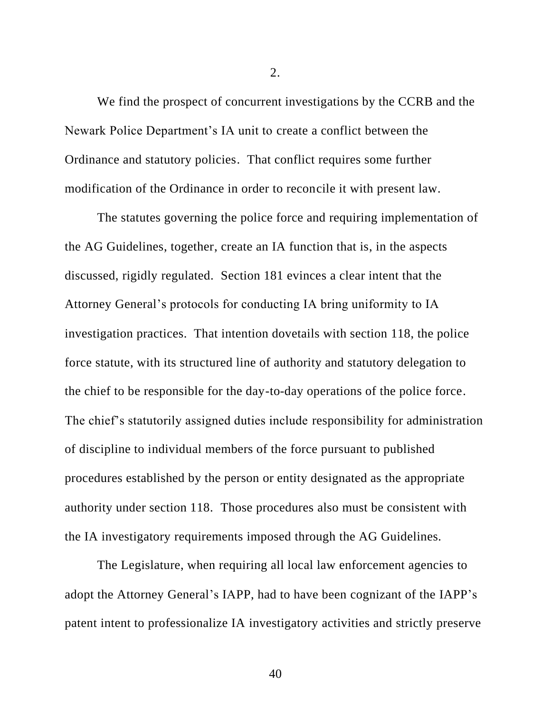We find the prospect of concurrent investigations by the CCRB and the Newark Police Department's IA unit to create a conflict between the Ordinance and statutory policies. That conflict requires some further modification of the Ordinance in order to reconcile it with present law.

The statutes governing the police force and requiring implementation of the AG Guidelines, together, create an IA function that is, in the aspects discussed, rigidly regulated. Section 181 evinces a clear intent that the Attorney General's protocols for conducting IA bring uniformity to IA investigation practices. That intention dovetails with section 118, the police force statute, with its structured line of authority and statutory delegation to the chief to be responsible for the day-to-day operations of the police force. The chief's statutorily assigned duties include responsibility for administration of discipline to individual members of the force pursuant to published procedures established by the person or entity designated as the appropriate authority under section 118. Those procedures also must be consistent with the IA investigatory requirements imposed through the AG Guidelines.

The Legislature, when requiring all local law enforcement agencies to adopt the Attorney General's IAPP, had to have been cognizant of the IAPP's patent intent to professionalize IA investigatory activities and strictly preserve

2.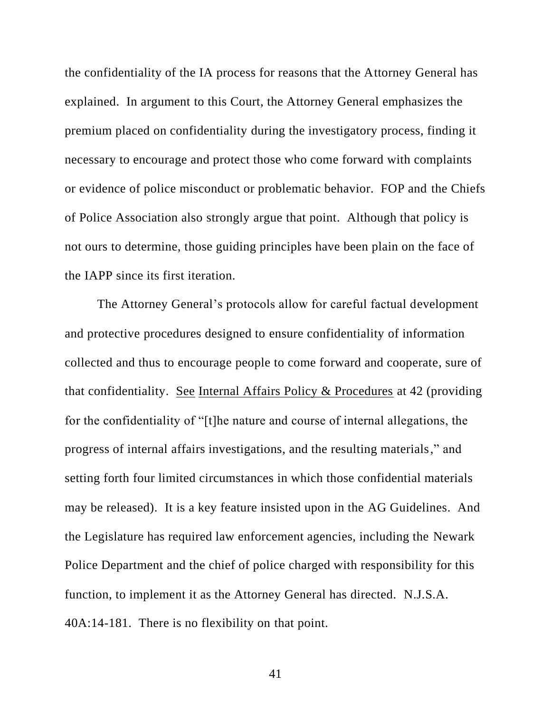the confidentiality of the IA process for reasons that the Attorney General has explained. In argument to this Court, the Attorney General emphasizes the premium placed on confidentiality during the investigatory process, finding it necessary to encourage and protect those who come forward with complaints or evidence of police misconduct or problematic behavior. FOP and the Chiefs of Police Association also strongly argue that point. Although that policy is not ours to determine, those guiding principles have been plain on the face of the IAPP since its first iteration.

The Attorney General's protocols allow for careful factual development and protective procedures designed to ensure confidentiality of information collected and thus to encourage people to come forward and cooperate, sure of that confidentiality. See Internal Affairs Policy & Procedures at 42 (providing for the confidentiality of "[t]he nature and course of internal allegations, the progress of internal affairs investigations, and the resulting materials," and setting forth four limited circumstances in which those confidential materials may be released). It is a key feature insisted upon in the AG Guidelines. And the Legislature has required law enforcement agencies, including the Newark Police Department and the chief of police charged with responsibility for this function, to implement it as the Attorney General has directed. N.J.S.A. 40A:14-181. There is no flexibility on that point.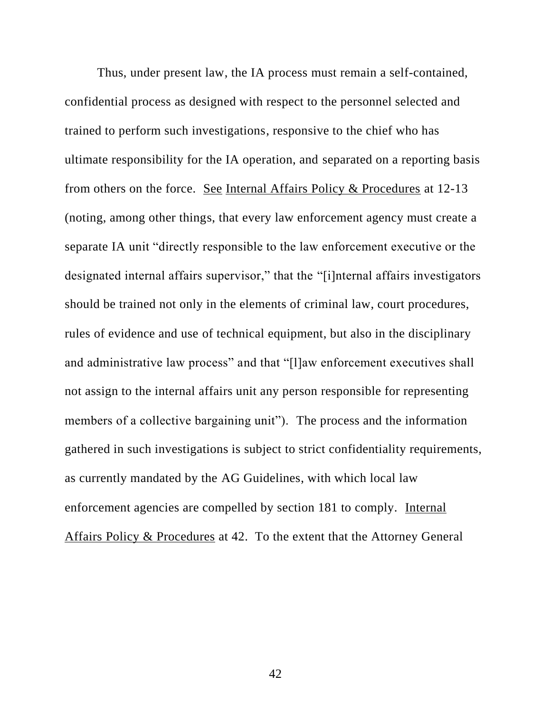Thus, under present law, the IA process must remain a self-contained, confidential process as designed with respect to the personnel selected and trained to perform such investigations, responsive to the chief who has ultimate responsibility for the IA operation, and separated on a reporting basis from others on the force. See Internal Affairs Policy & Procedures at 12-13 (noting, among other things, that every law enforcement agency must create a separate IA unit "directly responsible to the law enforcement executive or the designated internal affairs supervisor," that the "[i]nternal affairs investigators should be trained not only in the elements of criminal law, court procedures, rules of evidence and use of technical equipment, but also in the disciplinary and administrative law process" and that "[l]aw enforcement executives shall not assign to the internal affairs unit any person responsible for representing members of a collective bargaining unit"). The process and the information gathered in such investigations is subject to strict confidentiality requirements, as currently mandated by the AG Guidelines, with which local law enforcement agencies are compelled by section 181 to comply. Internal Affairs Policy & Procedures at 42. To the extent that the Attorney General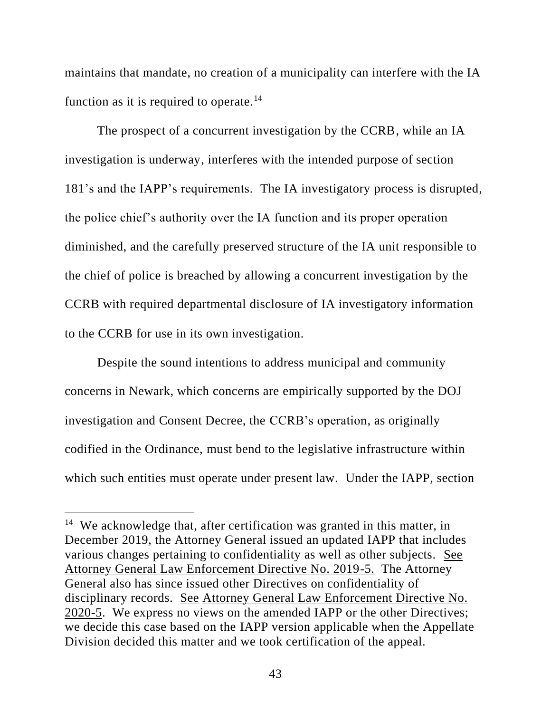maintains that mandate, no creation of a municipality can interfere with the IA function as it is required to operate.<sup>14</sup>

The prospect of a concurrent investigation by the CCRB, while an IA investigation is underway, interferes with the intended purpose of section 181's and the IAPP's requirements. The IA investigatory process is disrupted, the police chief's authority over the IA function and its proper operation diminished, and the carefully preserved structure of the IA unit responsible to the chief of police is breached by allowing a concurrent investigation by the CCRB with required departmental disclosure of IA investigatory information to the CCRB for use in its own investigation.

Despite the sound intentions to address municipal and community concerns in Newark, which concerns are empirically supported by the DOJ investigation and Consent Decree, the CCRB's operation, as originally codified in the Ordinance, must bend to the legislative infrastructure within which such entities must operate under present law. Under the IAPP, section

<sup>&</sup>lt;sup>14</sup> We acknowledge that, after certification was granted in this matter, in December 2019, the Attorney General issued an updated IAPP that includes various changes pertaining to confidentiality as well as other subjects. See Attorney General Law Enforcement Directive No. 2019-5. The Attorney General also has since issued other Directives on confidentiality of disciplinary records. See Attorney General Law Enforcement Directive No. 2020-5. We express no views on the amended IAPP or the other Directives; we decide this case based on the IAPP version applicable when the Appellate Division decided this matter and we took certification of the appeal.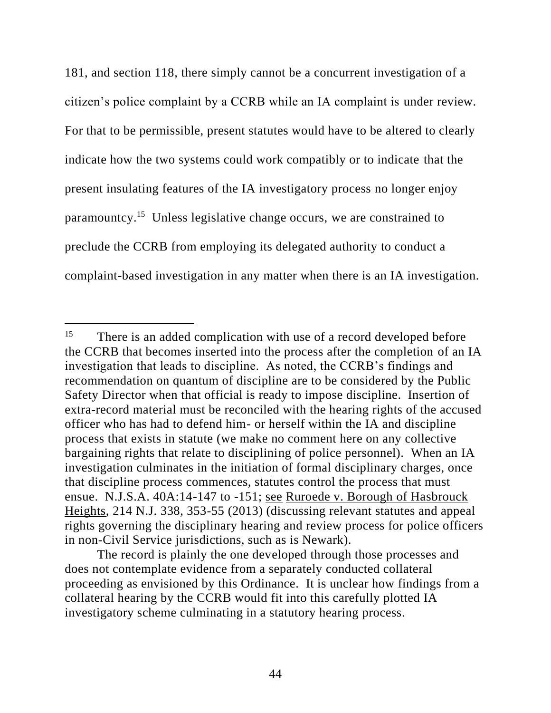181, and section 118, there simply cannot be a concurrent investigation of a citizen's police complaint by a CCRB while an IA complaint is under review. For that to be permissible, present statutes would have to be altered to clearly indicate how the two systems could work compatibly or to indicate that the present insulating features of the IA investigatory process no longer enjoy paramountcy. 15 Unless legislative change occurs, we are constrained to preclude the CCRB from employing its delegated authority to conduct a complaint-based investigation in any matter when there is an IA investigation.

<sup>&</sup>lt;sup>15</sup> There is an added complication with use of a record developed before the CCRB that becomes inserted into the process after the completion of an IA investigation that leads to discipline. As noted, the CCRB's findings and recommendation on quantum of discipline are to be considered by the Public Safety Director when that official is ready to impose discipline. Insertion of extra-record material must be reconciled with the hearing rights of the accused officer who has had to defend him- or herself within the IA and discipline process that exists in statute (we make no comment here on any collective bargaining rights that relate to disciplining of police personnel). When an IA investigation culminates in the initiation of formal disciplinary charges, once that discipline process commences, statutes control the process that must ensue. N.J.S.A. 40A:14-147 to -151; see Ruroede v. Borough of Hasbrouck Heights, 214 N.J. 338, 353-55 (2013) (discussing relevant statutes and appeal rights governing the disciplinary hearing and review process for police officers in non-Civil Service jurisdictions, such as is Newark).

The record is plainly the one developed through those processes and does not contemplate evidence from a separately conducted collateral proceeding as envisioned by this Ordinance. It is unclear how findings from a collateral hearing by the CCRB would fit into this carefully plotted IA investigatory scheme culminating in a statutory hearing process.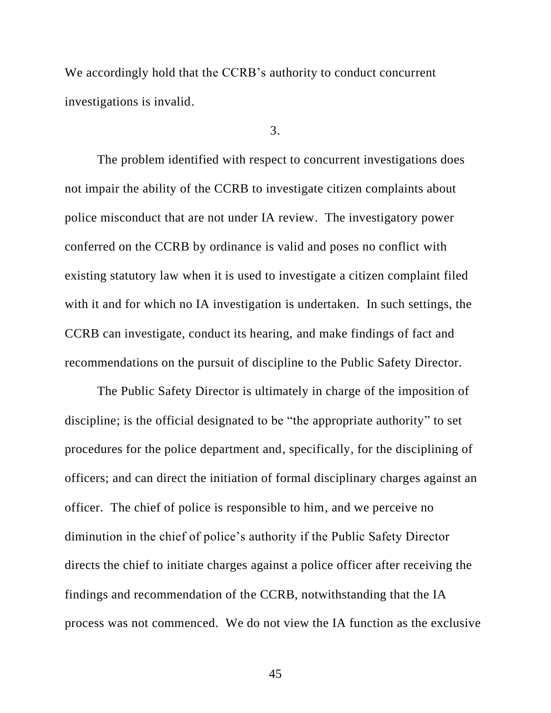We accordingly hold that the CCRB's authority to conduct concurrent investigations is invalid.

#### 3.

The problem identified with respect to concurrent investigations does not impair the ability of the CCRB to investigate citizen complaints about police misconduct that are not under IA review. The investigatory power conferred on the CCRB by ordinance is valid and poses no conflict with existing statutory law when it is used to investigate a citizen complaint filed with it and for which no IA investigation is undertaken. In such settings, the CCRB can investigate, conduct its hearing, and make findings of fact and recommendations on the pursuit of discipline to the Public Safety Director.

The Public Safety Director is ultimately in charge of the imposition of discipline; is the official designated to be "the appropriate authority" to set procedures for the police department and, specifically, for the disciplining of officers; and can direct the initiation of formal disciplinary charges against an officer. The chief of police is responsible to him, and we perceive no diminution in the chief of police's authority if the Public Safety Director directs the chief to initiate charges against a police officer after receiving the findings and recommendation of the CCRB, notwithstanding that the IA process was not commenced. We do not view the IA function as the exclusive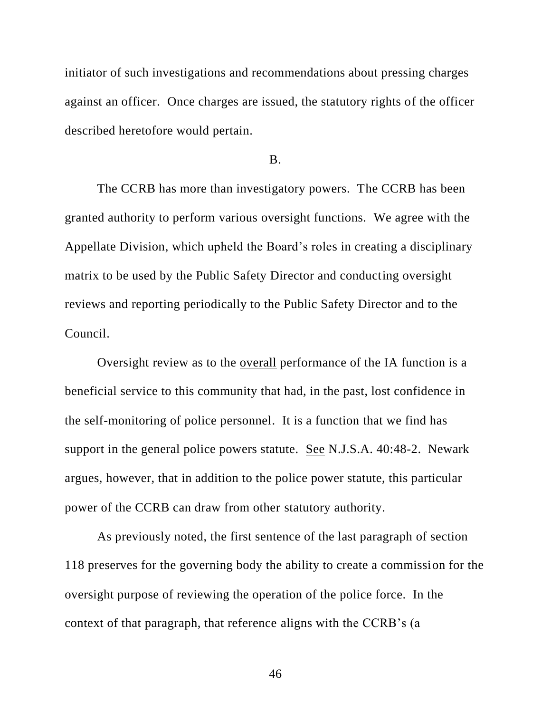initiator of such investigations and recommendations about pressing charges against an officer. Once charges are issued, the statutory rights of the officer described heretofore would pertain.

B.

The CCRB has more than investigatory powers. The CCRB has been granted authority to perform various oversight functions. We agree with the Appellate Division, which upheld the Board's roles in creating a disciplinary matrix to be used by the Public Safety Director and conducting oversight reviews and reporting periodically to the Public Safety Director and to the Council.

Oversight review as to the overall performance of the IA function is a beneficial service to this community that had, in the past, lost confidence in the self-monitoring of police personnel. It is a function that we find has support in the general police powers statute. See N.J.S.A. 40:48-2. Newark argues, however, that in addition to the police power statute, this particular power of the CCRB can draw from other statutory authority.

As previously noted, the first sentence of the last paragraph of section 118 preserves for the governing body the ability to create a commission for the oversight purpose of reviewing the operation of the police force. In the context of that paragraph, that reference aligns with the CCRB's (a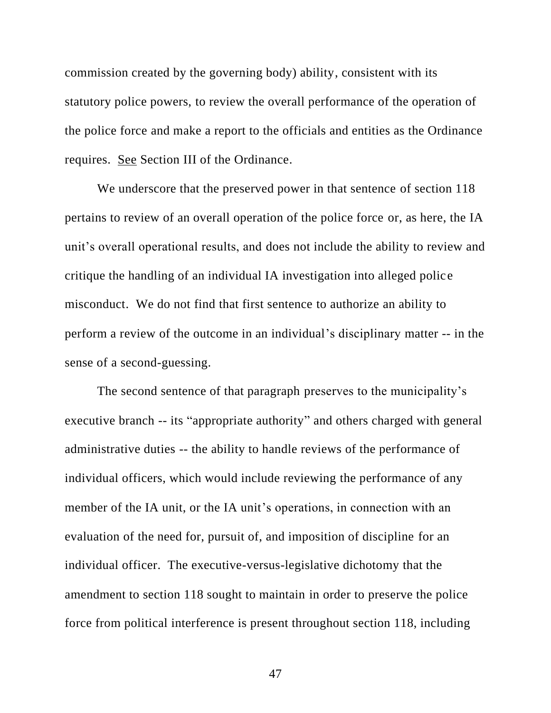commission created by the governing body) ability, consistent with its statutory police powers, to review the overall performance of the operation of the police force and make a report to the officials and entities as the Ordinance requires. See Section III of the Ordinance.

We underscore that the preserved power in that sentence of section 118 pertains to review of an overall operation of the police force or, as here, the IA unit's overall operational results, and does not include the ability to review and critique the handling of an individual IA investigation into alleged police misconduct. We do not find that first sentence to authorize an ability to perform a review of the outcome in an individual's disciplinary matter -- in the sense of a second-guessing.

The second sentence of that paragraph preserves to the municipality's executive branch -- its "appropriate authority" and others charged with general administrative duties -- the ability to handle reviews of the performance of individual officers, which would include reviewing the performance of any member of the IA unit, or the IA unit's operations, in connection with an evaluation of the need for, pursuit of, and imposition of discipline for an individual officer. The executive-versus-legislative dichotomy that the amendment to section 118 sought to maintain in order to preserve the police force from political interference is present throughout section 118, including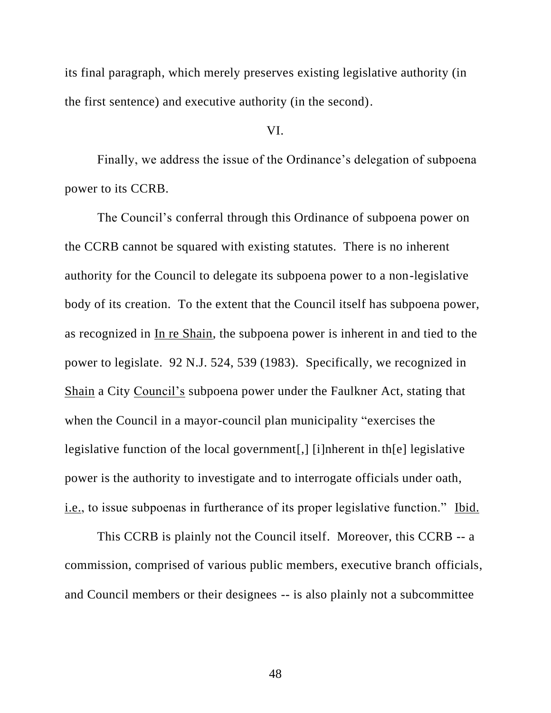its final paragraph, which merely preserves existing legislative authority (in the first sentence) and executive authority (in the second).

## VI.

Finally, we address the issue of the Ordinance's delegation of subpoena power to its CCRB.

The Council's conferral through this Ordinance of subpoena power on the CCRB cannot be squared with existing statutes. There is no inherent authority for the Council to delegate its subpoena power to a non-legislative body of its creation. To the extent that the Council itself has subpoena power, as recognized in In re Shain, the subpoena power is inherent in and tied to the power to legislate. 92 N.J. 524, 539 (1983). Specifically, we recognized in Shain a City Council's subpoena power under the Faulkner Act, stating that when the Council in a mayor-council plan municipality "exercises the legislative function of the local government[,] [i]nherent in th[e] legislative power is the authority to investigate and to interrogate officials under oath, i.e., to issue subpoenas in furtherance of its proper legislative function." Ibid.

This CCRB is plainly not the Council itself. Moreover, this CCRB -- a commission, comprised of various public members, executive branch officials, and Council members or their designees -- is also plainly not a subcommittee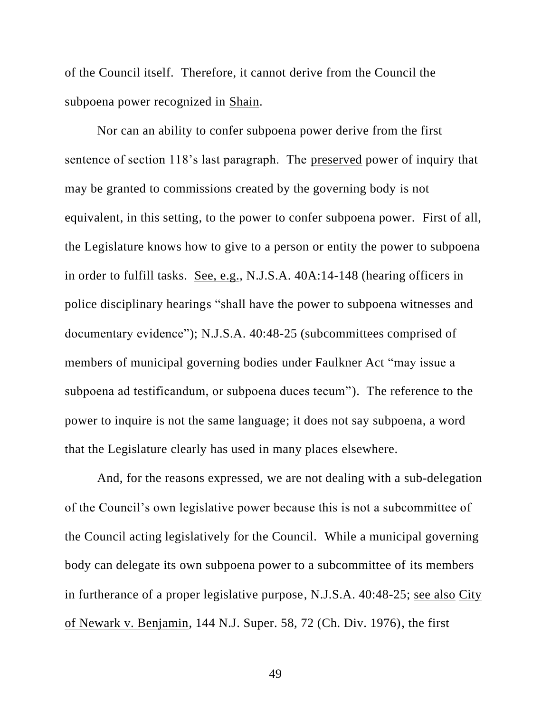of the Council itself. Therefore, it cannot derive from the Council the subpoena power recognized in Shain.

Nor can an ability to confer subpoena power derive from the first sentence of section 118's last paragraph. The preserved power of inquiry that may be granted to commissions created by the governing body is not equivalent, in this setting, to the power to confer subpoena power. First of all, the Legislature knows how to give to a person or entity the power to subpoena in order to fulfill tasks. See, e.g., N.J.S.A. 40A:14-148 (hearing officers in police disciplinary hearings "shall have the power to subpoena witnesses and documentary evidence"); N.J.S.A. 40:48-25 (subcommittees comprised of members of municipal governing bodies under Faulkner Act "may issue a subpoena ad testificandum, or subpoena duces tecum"). The reference to the power to inquire is not the same language; it does not say subpoena, a word that the Legislature clearly has used in many places elsewhere.

And, for the reasons expressed, we are not dealing with a sub-delegation of the Council's own legislative power because this is not a subcommittee of the Council acting legislatively for the Council. While a municipal governing body can delegate its own subpoena power to a subcommittee of its members in furtherance of a proper legislative purpose, N.J.S.A. 40:48-25; see also City of Newark v. Benjamin, 144 N.J. Super. 58, 72 (Ch. Div. 1976), the first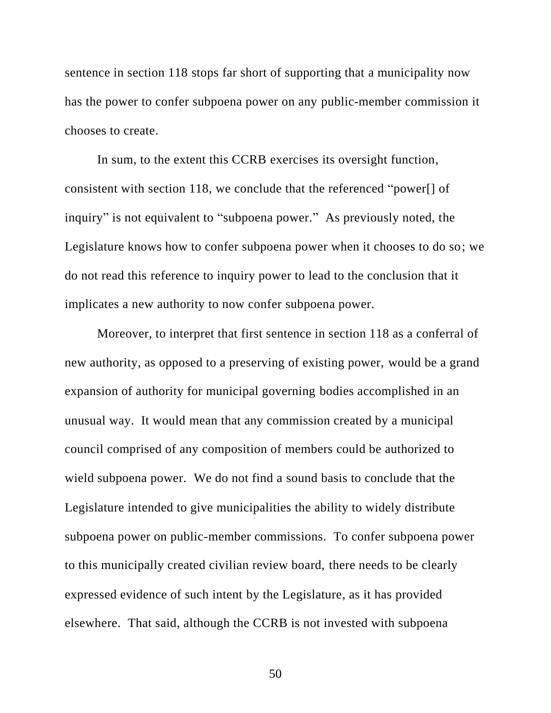sentence in section 118 stops far short of supporting that a municipality now has the power to confer subpoena power on any public-member commission it chooses to create.

In sum, to the extent this CCRB exercises its oversight function, consistent with section 118, we conclude that the referenced "power[] of inquiry" is not equivalent to "subpoena power." As previously noted, the Legislature knows how to confer subpoena power when it chooses to do so; we do not read this reference to inquiry power to lead to the conclusion that it implicates a new authority to now confer subpoena power.

Moreover, to interpret that first sentence in section 118 as a conferral of new authority, as opposed to a preserving of existing power, would be a grand expansion of authority for municipal governing bodies accomplished in an unusual way. It would mean that any commission created by a municipal council comprised of any composition of members could be authorized to wield subpoena power. We do not find a sound basis to conclude that the Legislature intended to give municipalities the ability to widely distribute subpoena power on public-member commissions. To confer subpoena power to this municipally created civilian review board, there needs to be clearly expressed evidence of such intent by the Legislature, as it has provided elsewhere. That said, although the CCRB is not invested with subpoena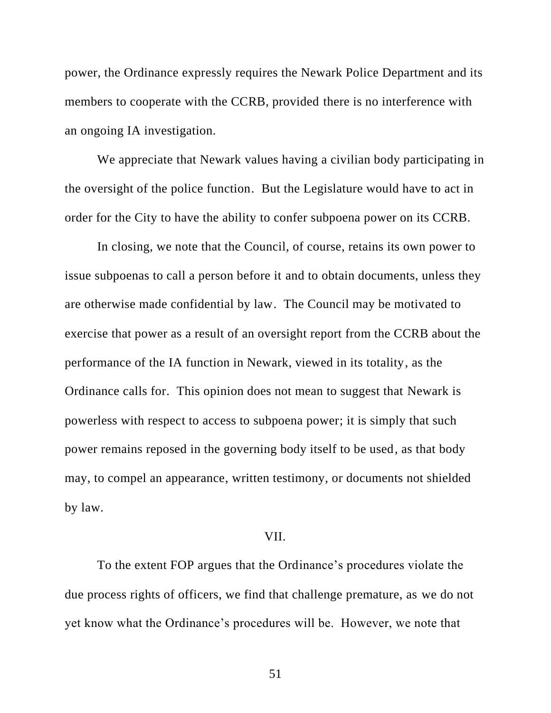power, the Ordinance expressly requires the Newark Police Department and its members to cooperate with the CCRB, provided there is no interference with an ongoing IA investigation.

We appreciate that Newark values having a civilian body participating in the oversight of the police function. But the Legislature would have to act in order for the City to have the ability to confer subpoena power on its CCRB.

In closing, we note that the Council, of course, retains its own power to issue subpoenas to call a person before it and to obtain documents, unless they are otherwise made confidential by law. The Council may be motivated to exercise that power as a result of an oversight report from the CCRB about the performance of the IA function in Newark, viewed in its totality, as the Ordinance calls for. This opinion does not mean to suggest that Newark is powerless with respect to access to subpoena power; it is simply that such power remains reposed in the governing body itself to be used, as that body may, to compel an appearance, written testimony, or documents not shielded by law.

# VII.

To the extent FOP argues that the Ordinance's procedures violate the due process rights of officers, we find that challenge premature, as we do not yet know what the Ordinance's procedures will be. However, we note that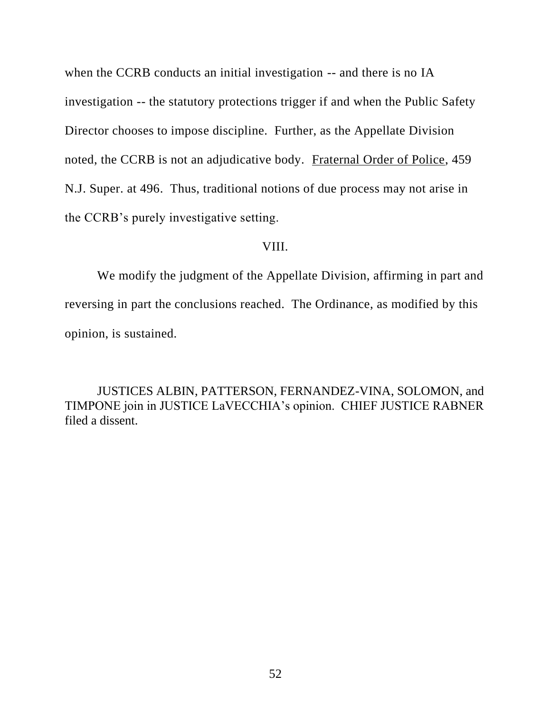when the CCRB conducts an initial investigation -- and there is no IA investigation -- the statutory protections trigger if and when the Public Safety Director chooses to impose discipline. Further, as the Appellate Division noted, the CCRB is not an adjudicative body. Fraternal Order of Police, 459 N.J. Super. at 496. Thus, traditional notions of due process may not arise in the CCRB's purely investigative setting.

### VIII.

We modify the judgment of the Appellate Division, affirming in part and reversing in part the conclusions reached. The Ordinance, as modified by this opinion, is sustained.

JUSTICES ALBIN, PATTERSON, FERNANDEZ-VINA, SOLOMON, and TIMPONE join in JUSTICE LaVECCHIA's opinion. CHIEF JUSTICE RABNER filed a dissent.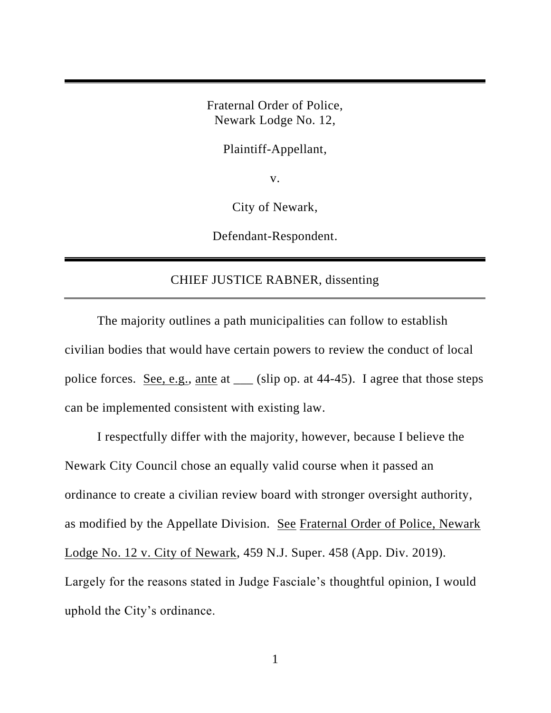Fraternal Order of Police, Newark Lodge No. 12,

Plaintiff-Appellant,

v.

City of Newark,

Defendant-Respondent.

# CHIEF JUSTICE RABNER, dissenting

The majority outlines a path municipalities can follow to establish civilian bodies that would have certain powers to review the conduct of local police forces. See, e.g., ante at \_\_\_ (slip op. at 44-45). I agree that those steps can be implemented consistent with existing law.

I respectfully differ with the majority, however, because I believe the Newark City Council chose an equally valid course when it passed an ordinance to create a civilian review board with stronger oversight authority, as modified by the Appellate Division. See Fraternal Order of Police, Newark Lodge No. 12 v. City of Newark, 459 N.J. Super. 458 (App. Div. 2019). Largely for the reasons stated in Judge Fasciale's thoughtful opinion, I would uphold the City's ordinance.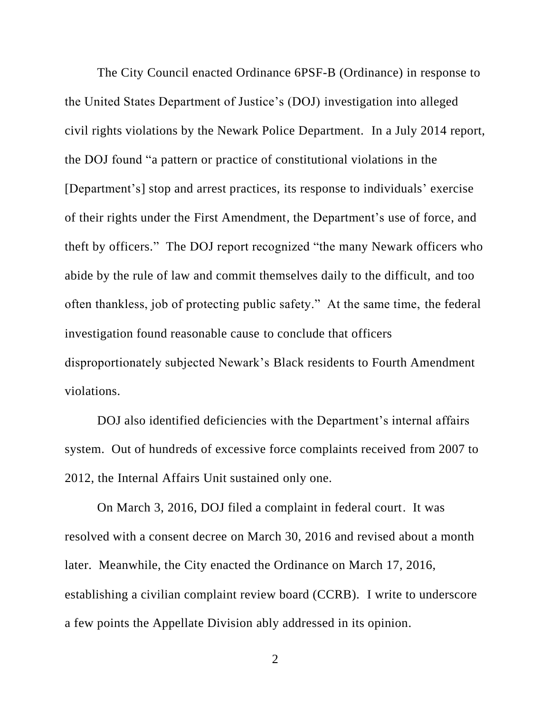The City Council enacted Ordinance 6PSF-B (Ordinance) in response to the United States Department of Justice's (DOJ) investigation into alleged civil rights violations by the Newark Police Department. In a July 2014 report, the DOJ found "a pattern or practice of constitutional violations in the [Department's] stop and arrest practices, its response to individuals' exercise of their rights under the First Amendment, the Department's use of force, and theft by officers." The DOJ report recognized "the many Newark officers who abide by the rule of law and commit themselves daily to the difficult, and too often thankless, job of protecting public safety." At the same time, the federal investigation found reasonable cause to conclude that officers disproportionately subjected Newark's Black residents to Fourth Amendment violations.

DOJ also identified deficiencies with the Department's internal affairs system. Out of hundreds of excessive force complaints received from 2007 to 2012, the Internal Affairs Unit sustained only one.

On March 3, 2016, DOJ filed a complaint in federal court. It was resolved with a consent decree on March 30, 2016 and revised about a month later. Meanwhile, the City enacted the Ordinance on March 17, 2016, establishing a civilian complaint review board (CCRB). I write to underscore a few points the Appellate Division ably addressed in its opinion.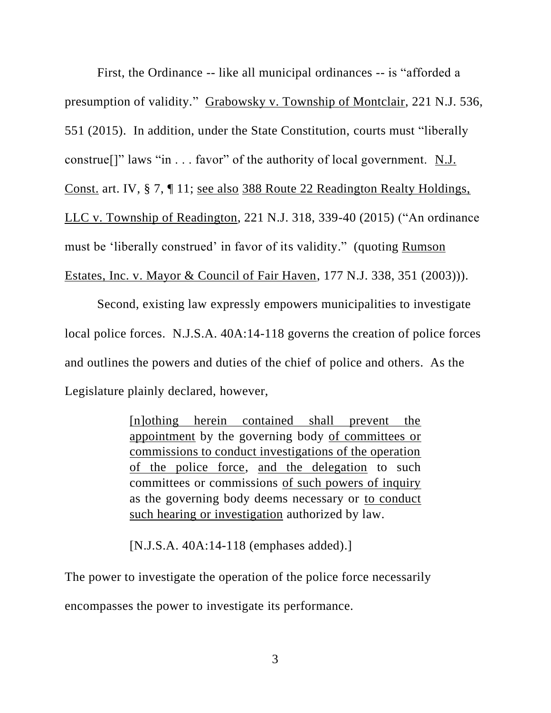First, the Ordinance -- like all municipal ordinances -- is "afforded a presumption of validity." Grabowsky v. Township of Montclair, 221 N.J. 536, 551 (2015). In addition, under the State Constitution, courts must "liberally construe[]" laws "in . . . favor" of the authority of local government. N.J. Const. art. IV, § 7, ¶ 11; see also 388 Route 22 Readington Realty Holdings, LLC v. Township of Readington, 221 N.J. 318, 339-40 (2015) ("An ordinance must be 'liberally construed' in favor of its validity." (quoting Rumson Estates, Inc. v. Mayor & Council of Fair Haven, 177 N.J. 338, 351 (2003))).

Second, existing law expressly empowers municipalities to investigate local police forces. N.J.S.A. 40A:14-118 governs the creation of police forces and outlines the powers and duties of the chief of police and others. As the Legislature plainly declared, however,

> [n]othing herein contained shall prevent the appointment by the governing body of committees or commissions to conduct investigations of the operation of the police force, and the delegation to such committees or commissions of such powers of inquiry as the governing body deems necessary or to conduct such hearing or investigation authorized by law.

[N.J.S.A. 40A:14-118 (emphases added).]

The power to investigate the operation of the police force necessarily encompasses the power to investigate its performance.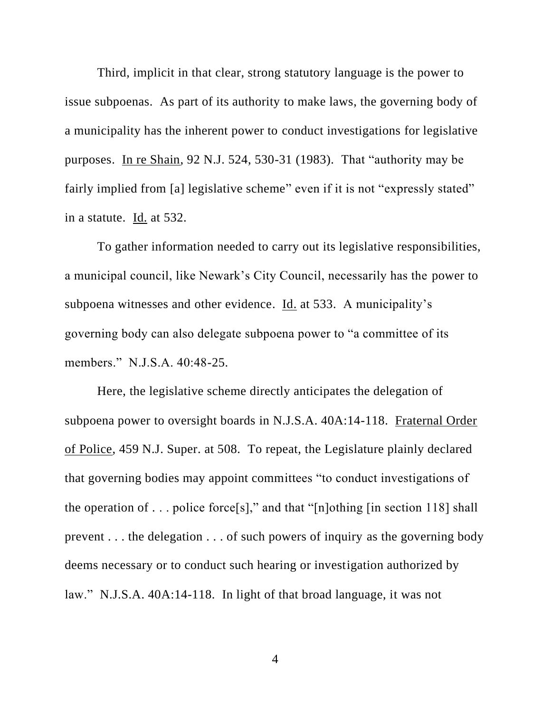Third, implicit in that clear, strong statutory language is the power to issue subpoenas. As part of its authority to make laws, the governing body of a municipality has the inherent power to conduct investigations for legislative purposes. In re Shain, 92 N.J. 524, 530-31 (1983). That "authority may be fairly implied from [a] legislative scheme" even if it is not "expressly stated" in a statute. Id. at 532.

To gather information needed to carry out its legislative responsibilities, a municipal council, like Newark's City Council, necessarily has the power to subpoena witnesses and other evidence. Id. at 533. A municipality's governing body can also delegate subpoena power to "a committee of its members." N.J.S.A. 40:48-25.

Here, the legislative scheme directly anticipates the delegation of subpoena power to oversight boards in N.J.S.A. 40A:14-118. Fraternal Order of Police, 459 N.J. Super. at 508. To repeat, the Legislature plainly declared that governing bodies may appoint committees "to conduct investigations of the operation of . . . police force [s]," and that "[n]othing [in section 118] shall prevent . . . the delegation . . . of such powers of inquiry as the governing body deems necessary or to conduct such hearing or investigation authorized by law." N.J.S.A. 40A:14-118. In light of that broad language, it was not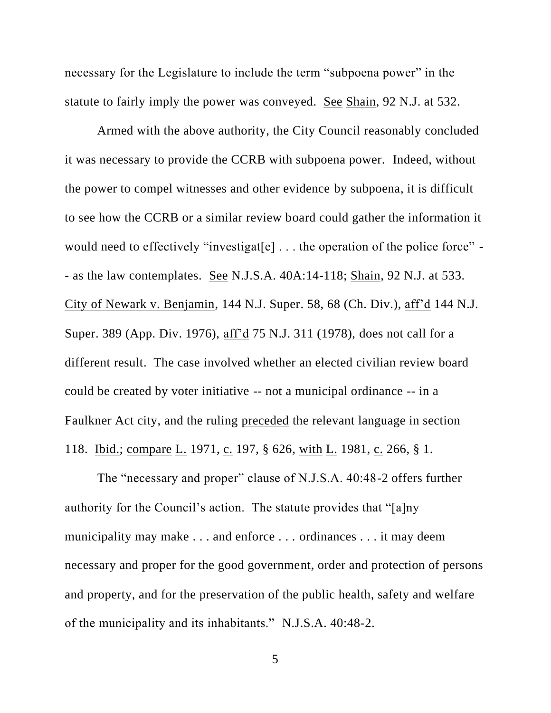necessary for the Legislature to include the term "subpoena power" in the statute to fairly imply the power was conveyed. See Shain, 92 N.J. at 532.

Armed with the above authority, the City Council reasonably concluded it was necessary to provide the CCRB with subpoena power. Indeed, without the power to compel witnesses and other evidence by subpoena, it is difficult to see how the CCRB or a similar review board could gather the information it would need to effectively "investigat[e] ... the operation of the police force" -- as the law contemplates. See N.J.S.A. 40A:14-118; Shain, 92 N.J. at 533. City of Newark v. Benjamin, 144 N.J. Super. 58, 68 (Ch. Div.), aff'd 144 N.J. Super. 389 (App. Div. 1976), aff'd 75 N.J. 311 (1978), does not call for a different result. The case involved whether an elected civilian review board could be created by voter initiative -- not a municipal ordinance -- in a Faulkner Act city, and the ruling preceded the relevant language in section 118. <u>Ibid.; compare L.</u> 1971, c. 197, § 626, with L. 1981, c. 266, § 1.

The "necessary and proper" clause of N.J.S.A. 40:48-2 offers further authority for the Council's action. The statute provides that "[a]ny municipality may make . . . and enforce . . . ordinances . . . it may deem necessary and proper for the good government, order and protection of persons and property, and for the preservation of the public health, safety and welfare of the municipality and its inhabitants." N.J.S.A. 40:48-2.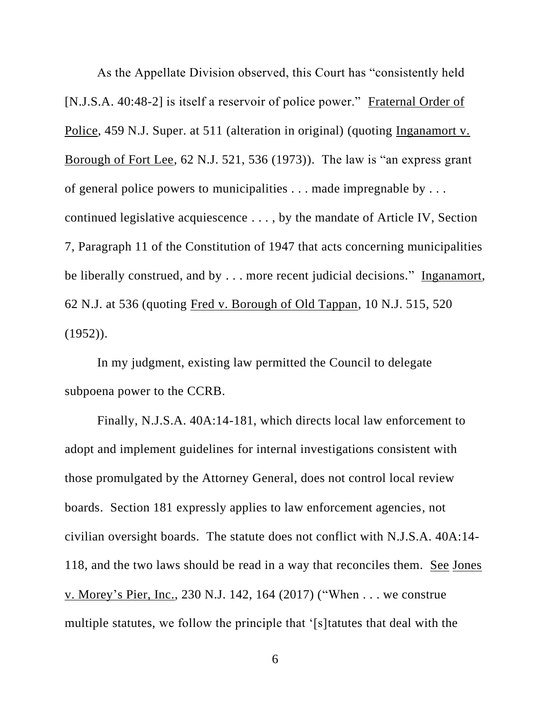As the Appellate Division observed, this Court has "consistently held [N.J.S.A. 40:48-2] is itself a reservoir of police power." Fraternal Order of Police, 459 N.J. Super. at 511 (alteration in original) (quoting Inganamort v. Borough of Fort Lee, 62 N.J. 521, 536 (1973)). The law is "an express grant of general police powers to municipalities . . . made impregnable by . . . continued legislative acquiescence . . . , by the mandate of Article IV, Section 7, Paragraph 11 of the Constitution of 1947 that acts concerning municipalities be liberally construed, and by . . . more recent judicial decisions." Inganamort, 62 N.J. at 536 (quoting Fred v. Borough of Old Tappan, 10 N.J. 515, 520  $(1952)$ .

In my judgment, existing law permitted the Council to delegate subpoena power to the CCRB.

Finally, N.J.S.A. 40A:14-181, which directs local law enforcement to adopt and implement guidelines for internal investigations consistent with those promulgated by the Attorney General, does not control local review boards. Section 181 expressly applies to law enforcement agencies, not civilian oversight boards. The statute does not conflict with N.J.S.A. 40A:14- 118, and the two laws should be read in a way that reconciles them. See Jones v. Morey's Pier, Inc., 230 N.J. 142, 164 (2017) ("When . . . we construe multiple statutes, we follow the principle that '[s]tatutes that deal with the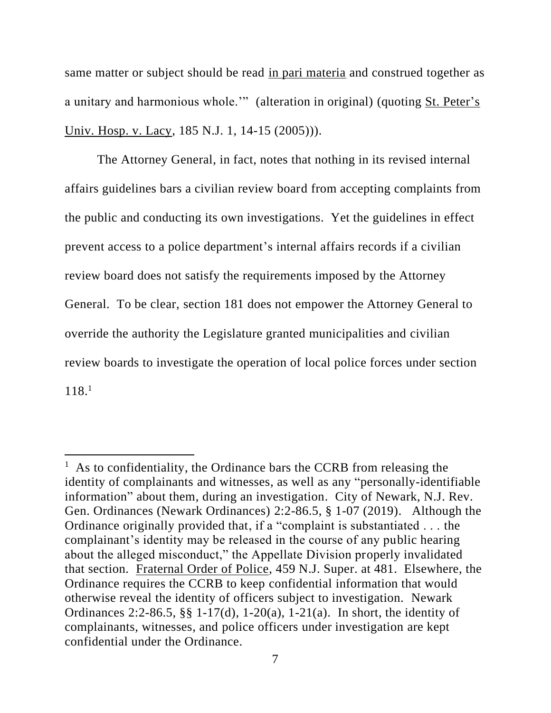same matter or subject should be read in pari materia and construed together as a unitary and harmonious whole.'" (alteration in original) (quoting St. Peter's Univ. Hosp. v. Lacy, 185 N.J. 1, 14-15 (2005))).

The Attorney General, in fact, notes that nothing in its revised internal affairs guidelines bars a civilian review board from accepting complaints from the public and conducting its own investigations. Yet the guidelines in effect prevent access to a police department's internal affairs records if a civilian review board does not satisfy the requirements imposed by the Attorney General. To be clear, section 181 does not empower the Attorney General to override the authority the Legislature granted municipalities and civilian review boards to investigate the operation of local police forces under section 118. 1

<sup>&</sup>lt;sup>1</sup> As to confidentiality, the Ordinance bars the CCRB from releasing the identity of complainants and witnesses, as well as any "personally-identifiable information" about them, during an investigation. City of Newark, N.J. Rev. Gen. Ordinances (Newark Ordinances) 2:2-86.5, § 1-07 (2019). Although the Ordinance originally provided that, if a "complaint is substantiated . . . the complainant's identity may be released in the course of any public hearing about the alleged misconduct," the Appellate Division properly invalidated that section. Fraternal Order of Police, 459 N.J. Super. at 481. Elsewhere, the Ordinance requires the CCRB to keep confidential information that would otherwise reveal the identity of officers subject to investigation. Newark Ordinances 2:2-86.5, §§ 1-17(d), 1-20(a), 1-21(a). In short, the identity of complainants, witnesses, and police officers under investigation are kept confidential under the Ordinance.